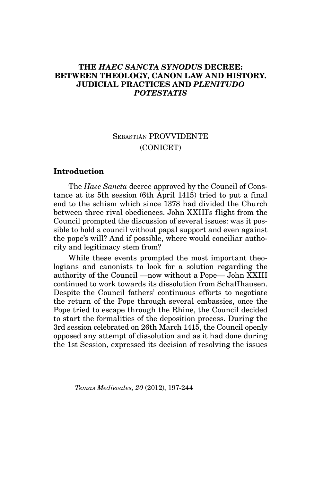## **The** *Haec sancta synodus* **Decree: Between Theology, Canon Law and History. Judicial Practices and** *Plenitudo Potestatis*

# Sebastián PROVVIDENTE (CONICET)

## **Introduction**

The *Haec Sancta* decree approved by the Council of Constance at its 5th session (6th April 1415) tried to put a final end to the schism which since 1378 had divided the Church between three rival obediences. John XXIII's flight from the Council prompted the discussion of several issues: was it possible to hold a council without papal support and even against the pope's will? And if possible, where would conciliar authority and legitimacy stem from?

While these events prompted the most important theologians and canonists to look for a solution regarding the authority of the Council —now without a Pope— John XXIII continued to work towards its dissolution from Schaffhausen. Despite the Council fathers' continuous efforts to negotiate the return of the Pope through several embassies, once the Pope tried to escape through the Rhine, the Council decided to start the formalities of the deposition process. During the 3rd session celebrated on 26th March 1415, the Council openly opposed any attempt of dissolution and as it had done during the 1st Session, expressed its decision of resolving the issues

*Temas Medievales, 20* (2012), 197-244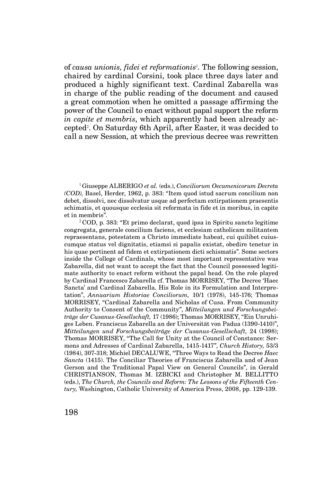of *causa unionis, fidei et reformationis*<sup>1</sup> *.* The following session, chaired by cardinal Corsini, took place three days later and produced a highly significant text. Cardinal Zabarella was in charge of the public reading of the document and caused a great commotion when he omitted a passage affirming the power of the Council to enact without papal support the reform *in capite et membris*, which apparently had been already accepted<sup>2</sup>. On Saturday 6th April, after Easter, it was decided to call a new Session, at which the previous decree was rewritten

<sup>1</sup>Giuseppe ALBERIGO *et al.* (eds.), *Conciliorum Oecumenicorum Decreta (COD),* Basel, Herder, 1962, p. 383: "Item quod istud sacrum concilium non debet, dissolvi, nec dissolvatur usque ad perfectam extirpationem praesentis schimatis, et quousque ecclesia sit reformata in fide et in moribus, in capite et in membris".

 $2^2$ COD, p. 383: "Et primo declarat, quod ipsa in Spiritu sancto legitime congregata, generale concilium faciens, et ecclesiam catholicam militantem repraesentans, potestatem a Christo immediate habeat, cui quilibet cuiuscumque status vel dignitatis, etiamsi si papalis existat, obedire tenetur in his quae pertinent ad fidem et extirpationem dicti schismatis". Some sectors inside the College of Cardinals, whose most important representative was Zabarella, did not want to accept the fact that the Council possessed legitimate authority to enact reform without the papal head. On the role played by Cardinal Francesco Zabarella cf. Thomas MORRISEY, "The Decree 'Haec Sancta' and Cardinal Zabarella. His Role in its Formulation and Interpretation", *Annuarium Historiae Conciliorum,* 10/1 (1978), 145-176; Thomas MORRISEY, "Cardinal Zabarella and Nicholas of Cusa. From Community Authority to Consent of the Community", *Mitteilungen und Forschungsbeiträge der Cusanus-Gesellschaft,* 17 (1986); Thomas MORRISEY, "Ein Unruhiges Leben. Franciscus Zabarella an der Universität von Padua (1390-1410)", *Mitteilungen und Forschungsbeiträge der Cusanus-Gesellschaft,* 24 (1998); Thomas MORRISEY, "The Call for Unity at the Council of Constance: Sermons and Adresses of Cardinal Zabarella, 1415-1417", *Church History,* 53/3 (1984), 307-318; Michiel DECALUWE, "Three Ways to Read the Decree *Haec Sancta* (1415). The Conciliar Theories of Franciscus Zabarella and of Jean Gerson and the Traditional Papal View on General Councils", in Gerald CHRISTIANSON, Thomas M. IZBICKI and Christopher M. BELLITTO (eds.), *The Church, the Councils and Reform: The Lessons of the Fifteenth Century,* Washington, Catholic University of America Press, 2008, pp. 129-139.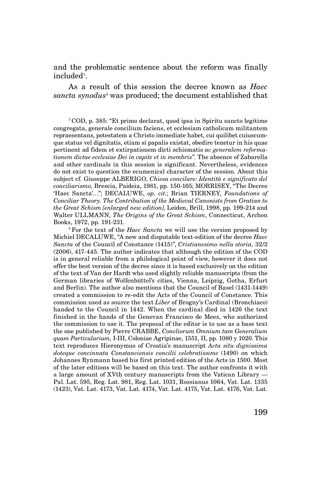and the problematic sentence about the reform was finally  $\mathop{\mathrm{included}}\nolimits^3.$ 

As a result of this session the decree known as *Haec sancta synodus*<sup>4</sup> was produced; the document established that

<sup>3</sup>COD, p. 385: "Et primo declarat, quod ipsa in Spiritu sancto legitime congregata, generale concilium faciens, et ecclesiam catholicam militantem repraesentans, potestatem a Christo immediate habet, cui quilibet cuiuscumque status vel dignitatis, etiam si papalis existat, obedire tenetur in his quae pertinent ad fidem et extirpationem dicti schismatis *ac generalem reformationem dictae ecclesiae Dei in capite et in membris*". The absence of Zabarella and other cardinals in this session is significant. Nevertheless, evidences do not exist to question the ecumenical character of the session. About this subject cf. Giuseppe ALBERIGO, *Chiesa concilare: Identità e significato del conciliarismo,* Brescia, Paideia, 1981, pp. 150-165; MORRISEY, "The Decree 'Haec Sancta'…"; DECALUWE, *op. cit.*; Brian TIERNEY, *Foundations of Conciliar Theory. The Contribution of the Medieval Canonists from Gratian to the Great Schism [enlarged new edition]*, Leiden, Brill, 1998, pp. 199-214 and Walter ULLMANN, *The Origins of the Great Schism*, Connecticut, Archon Books, 1972, pp. 191-231.

<sup>4</sup>For the text of the *Haec Sancta* we will use the version proposed by Michiel DECALUWE, "A new and disputable text-edition of the decree *Haec Sancta* of the Council of Constance (1415)", *Cristianesimo nella storia,* 32/2 (2006), 417-445. The author indicates that although the edition of the COD is in general reliable from a philological point of view, however it does not offer the best version of the decree since it is based exclusively on the edition of the text of Van der Hardt who used slightly reliable manuscripts (from the German libraries of Wolfenbüttel's cities, Vienna, Leipzig, Gotha, Erfurt and Berlin). The author also mentions that the Council of Basel (1431-1449) created a commission to re-edit the Acts of the Council of Constance. This commission used as source the text *Liber* of Brogny's Cardinal (Bronchiaco) handed to the Council in 1442. When the cardinal died in 1426 the text finished in the hands of the Genevan Francisco de Meez, who authorized the commission to use it. The proposal of the editor is to use as a base text the one published by Pierre CRABBE, *Concliorum Omnium tam Generalium quam Particularium,* I-III, Coloniae Agripinae, 1551, II, pp. 1080 y 1020. This text reproduces Hieronymus of Croatia's manuscript *Acta situ dignissima doteque concinnata Constanciensis concilii celebratissime* (1490) on which Johannes Rynmann based his first printed edition of the Acts in 1500. Most of the later editions will be based on this text. The author confronts it with a large amount of XVth century manuscripts from the Vatican Library — Pal. Lat. 595, Reg. Lat. 981, Reg. Lat. 1031, Rossianus 1064, Vat. Lat. 1335 (1423), Vat. Lat. 4173, Vat. Lat. 4174, Vat. Lat. 4175, Vat. Lat. 4176, Vat. Lat.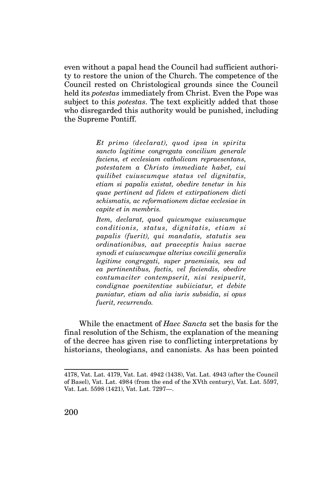even without a papal head the Council had sufficient authority to restore the union of the Church. The competence of the Council rested on Christological grounds since the Council held its *potestas* immediately from Christ. Even the Pope was subject to this *potestas*. The text explicitly added that those who disregarded this authority would be punished, including the Supreme Pontiff.

> *Et primo (declarat), quod ipsa in spiritu sancto legitime congregata concilium generale faciens, et ecclesiam catholicam repraesentans, potestatem a Christo immediate habet, cui quilibet cuiuscumque status vel dignitatis, etiam si papalis existat, obedire tenetur in his quae pertinent ad fidem et extirpationem dicti schismatis, ac reformationem dictae ecclesiae in capite et in membris.*

> *Item, declarat, quod quicumque cuiuscumque conditionis, status, dignitatis, etiam si papalis (fuerit), qui mandatis, statutis seu ordinationibus, aut praeceptis huius sacrae synodi et cuiuscumque alterius concilii generalis legitime congregati, super praemissis, seu ad ea pertinentibus, factis, vel faciendis, obedire contumaciter contempserit, nisi resipuerit, condignae poenitentiae subiiciatur, et debite puniatur, etiam ad alia iuris subsidia, si opus fuerit, recurrendo.*

While the enactment of *Haec Sancta* set the basis for the final resolution of the Schism, the explanation of the meaning of the decree has given rise to conflicting interpretations by historians, theologians, and canonists. As has been pointed

<sup>4178,</sup> Vat. Lat. 4179, Vat. Lat. 4942 (1438), Vat. Lat. 4943 (after the Council of Basel), Vat. Lat. 4984 (from the end of the XVth century), Vat. Lat. 5597, Vat. Lat. 5598 (1421), Vat. Lat. 7297—.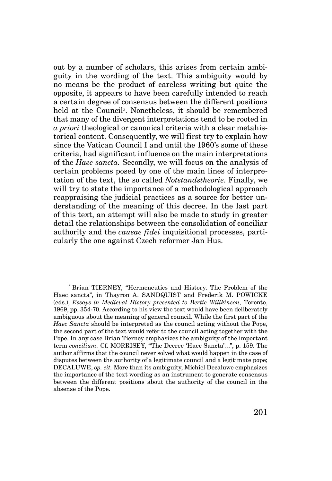out by a number of scholars, this arises from certain ambiguity in the wording of the text. This ambiguity would by no means be the product of careless writing but quite the opposite, it appears to have been carefully intended to reach a certain degree of consensus between the different positions held at the Council<sup>5</sup>. Nonetheless, it should be remembered that many of the divergent interpretations tend to be rooted in *a priori* theological or canonical criteria with a clear metahistorical content. Consequently, we will first try to explain how since the Vatican Council I and until the 1960's some of these criteria, had significant influence on the main interpretations of the *Haec sancta.* Secondly, we will focus on the analysis of certain problems posed by one of the main lines of interpretation of the text, the so called *Notstandstheorie*. Finally, we will try to state the importance of a methodological approach reappraising the judicial practices as a source for better understanding of the meaning of this decree. In the last part of this text, an attempt will also be made to study in greater detail the relationships between the consolidation of conciliar authority and the *causae fidei* inquisitional processes, particularly the one against Czech reformer Jan Hus.

<sup>5</sup> Brian TIERNEY, "Hermeneutics and History. The Problem of the Haec sancta", in Thayron A. SANDQUIST and Frederik M. POWICKE (eds.), *Essays in Medieval History presented to Bertie Willkinson,* Toronto, 1969, pp. 354-70. According to his view the text would have been deliberately ambiguous about the meaning of general council. While the first part of the *Haec Sancta* should be interpreted as the council acting without the Pope, the second part of the text would refer to the council acting together with the Pope. In any case Brian Tierney emphasizes the ambiguity of the important term *concilium.* Cf. MORRISEY, "The Decree 'Haec Sancta'…", p. 159. The author affirms that the council never solved what would happen in the case of disputes between the authority of a legitimate council and a legitimate pope; DECALUWE, *op. cit.* More than its ambiguity, Michiel Decaluwe emphasizes the importance of the text wording as an instrument to generate consensus between the different positions about the authority of the council in the absense of the Pope.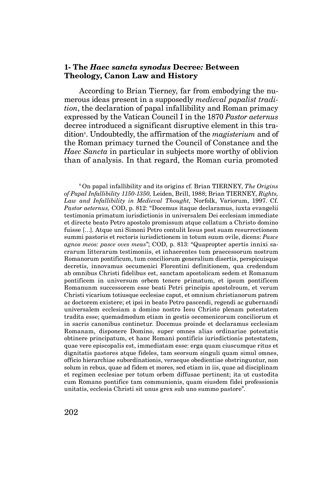#### **1- The** *Haec sancta synodus* **Decree***:* **Between Theology, Canon Law and History**

According to Brian Tierney, far from embodying the numerous ideas present in a supposedly *medieval papalist tradition*, the declaration of papal infallibility and Roman primacy expressed by the Vatican Council I in the 1870 *Pastor aeternus* decree introduced a significant disruptive element in this tradition<sup>6</sup>. Undoubtedly, the affirmation of the *magisterium* and of the Roman primacy turned the Council of Constance and the *Haec Sancta* in particular in subjects more worthy of oblivion than of analysis. In that regard, the Roman curia promoted

<sup>6</sup>On papal infallibility and its origins cf. Brian TIERNEY, *The Origins of Papal Infallibility 1150-1350,* Leiden, Brill, 1988; Brian TIERNEY, *Rights, Law and Infallibility in Medieval Thought,* Norfolk, Variorum, 1997. Cf. *Pastor aeternus,* COD, p. 812: "Docemus itaque declaramus, iuxta evangelii testimonia primatum iurisdictionis in universalem Dei ecclesiam immediate et directe beato Petro apostolo promissum atque collatum a Christo domino fuisse […]. Atque uni Simoni Petro contulit Iesus post suam resurrectionem summi pastoris et rectoris iurisdictionem in totum suum ovile, dicens: *Pasce agnos meos: pasce oves meas*"; COD, p. 813: "Quapropter apertis innixi sacrarum litterarum testimoniis, et inhaerentes tum praecessorum nostrum Romanorum pontificum, tum conciliorum generalium disertis, perspicuisque decretis, innovamus oecumenici Florentini definitionem, qua credendum ab omnibus Christi fidelibus est, sanctam apostolicam sedem et Romanum pontificem in universum orbem tenere primatum, et ipsum pontificem Romanunm successorem esse beati Petri principis apostolroum, et verum Christi vicarium totiusque ecclesiae caput, et omnium christianorum patrem ac doctorem existere; et ipsi in beato Petro pascendi, regendi ac gubernandi universalem ecclesiam a domino nostro Iesu Christo plenam potestatem tradita esse; quemadmodum etiam in gestis oecomenicorum conciliorum et in sacris canonibus continetur. Docemus proinde et declaramus ecclesiam Romanam, disponere Domino, super omnes alias ordinariae potestatis obtinere principatum, et hanc Romani pontificis iurisdictionis potestatem, quae vere episcopalis est, immediatam esse: erga quam ciuscumque ritus et dignitatis pastores atque fideles, tam seorsum singuli quam simul omnes, officio hierarchiae subordinationis, veraeque obedientiae obstringuntur, non solum in rebus, quae ad fidem et mores, sed etiam in iis, quae ad disciplinam et regimen ecclesiae per totum orbem diffusae pertinent; ita ut custodita cum Romano pontifice tam communionis, quam eiusdem fidei professionis unitatis, ecclesia Christi sit unus grex sub uno summo pastore".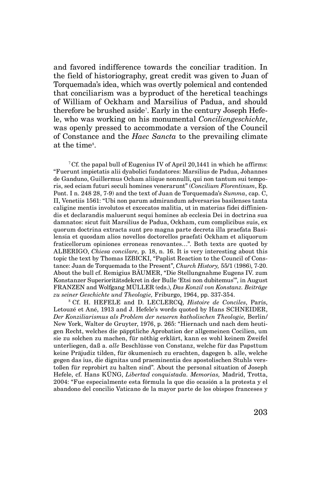and favored indifference towards the conciliar tradition. In the field of historiography, great credit was given to Juan of Torquemada's idea, which was overtly polemical and contended that conciliarism was a byproduct of the heretical teachings of William of Ockham and Marsilius of Padua, and should therefore be brushed aside<sup>7</sup>. Early in the century Joseph Hefele, who was working on his monumental *Conciliengeschichte*, was openly pressed to accommodate a version of the Council of Constance and the *Haec Sancta* to the prevailing climate at the time<sup>8</sup>.

<sup>7</sup>Cf. the papal bull of Eugenius IV of April 20,1441 in which he affirms: "Fuerunt impietatis alii dyabolici fundatores: Marsilius de Padua, Johannes de Ganduno, Guillermus Ocham aliique nonnulli, qui non tantum sui temporis, sed eciam futuri seculi homines venerarunt" (*Concilium Florentinum*, Ep. Pont. I n. 248 28, 7-9) and the text of Juan de Torquemada's *Summa*, cap. C, II, Venetiis 1561: "Ubi non parum admirandum adversarios basilenses tanta caligine mentis involutos et excecatos malitia, ut in materias fidei diffiniendis et declarandis maluerunt sequi homines ab ecclesia Dei in doctrina sua damnatos: sicut fuit Marsilius de Padua, Ockham, cum complicibus suis, ex quorum doctrina extracta sunt pro magna parte decreta illa praefata Basilensia et quosdam alios novellos doctorellos praefati Ockham et aliquorum fraticellorum opiniones erroneas renovantes…". Both texts are quoted by ALBERIGO, *Chiesa concilare,* p. 18, n. 16. It is very interesting about this topic the text by Thomas IZBICKI, "Paplist Reaction to the Council of Constance: Juan de Torquemada to the Present", *Church History,* 55/1 (1986), 7-20. About the bull cf. Remigius BÄUMER, "Die Stellungnahme Eugens IV. zum Konstanzer Superioritätsdekret in der Bulle 'Etsi non dubitemus'", in August FRANZEN and Wolfgang MÜLLER (eds.), *Das Konzil von Konstanz. Beiträge zu seiner Geschichte und Theologie,* Friburgo, 1964, pp. 337-354.

<sup>8</sup>Cf. H. HEFELE and D. LECLERCQ, *Histoire de Conciles*, París, Letouzé et Ané, 1913 and J. Hefele's words quoted by Hans SCHNEIDER, *Der Konziliarismus als Problem der neueren katholischen Theologie,* Berlin/ New York, Walter de Gruyter, 1976, p. 265: "Hiernach und nach dem heutigen Recht, welches die päpptliche Aprobation der allgemeinen Cocilien, um sie zu solchen zu machen, für nöthig erklärt, kann es wohl keinem Zweifel unterliegen, daß a. *alle* Beschlüsse von Constanz, welche für das Papsttum keine Präjudiz tilden, für ökumenisch zu erachten, dagegen b. alle, welche gegen das ius, die dignitas und praeminentia des apostolischen Stuhls verstoßen für reprobirt zu halten sind". About the personal situation of Joseph Hefele, cf. Hans KÜNG, *Libertad conquistada. Memorias,* Madrid, Trotta, 2004: "Fue especialmente esta fórmula la que dio ocasión a la protesta y el abandono del concilio Vaticano de la mayor parte de los obispos franceses y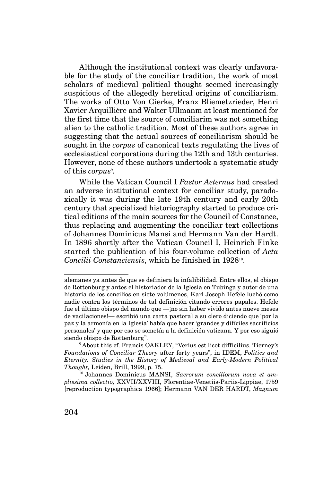Although the institutional context was clearly unfavorable for the study of the conciliar tradition, the work of most scholars of medieval political thought seemed increasingly suspicious of the allegedly heretical origins of conciliarism. The works of Otto Von Gierke, Franz Bliemetzrieder, Henri Xavier Arquillière and Walter Ullmanm at least mentioned for the first time that the source of conciliarim was not something alien to the catholic tradition. Most of these authors agree in suggesting that the actual sources of conciliarism should be sought in the *corpus* of canonical texts regulating the lives of ecclesiastical corporations during the 12th and 13th centuries. However, none of these authors undertook a systematic study of this *corpus*<sup>9</sup>.

While the Vatican Council I *Pastor Aeternus* had created an adverse institutional context for conciliar study, paradoxically it was during the late 19th century and early 20th century that specialized historiography started to produce critical editions of the main sources for the Council of Constance, thus replacing and augmenting the conciliar text collections of Johannes Dominicus Mansi and Hermann Van der Hardt. In 1896 shortly after the Vatican Council I, Heinrich Finke started the publication of his four-volume collection of *Acta Concilii Constanciensis*, which he finished in 1928<sup>10</sup>.

alemanes ya antes de que se definiera la infalibilidad. Entre ellos, el obispo de Rottenburg y antes el historiador de la Iglesia en Tubinga y autor de una historia de los concilios en siete volúmenes, Karl Joseph Hefele luchó como nadie contra los términos de tal definición citando errores papales. Hefele fue el último obispo del mundo que —¡no sin haber vivido antes nueve meses de vacilaciones!— escribió una carta pastoral a su clero diciendo que 'por la paz y la armonía en la Iglesia' había que hacer 'grandes y difíciles sacrificios personales' y que por eso se sometía a la definición vaticana. Y por eso siguió siendo obispo de Rottenburg".

<sup>9</sup>About this cf. Francis OAKLEY, "Verius est licet difficilius. Tierney's *Foundations of Conciliar Theory* after forty years", in IDEM, *Politics and Eternity. Studies in the History of Medieval and Early-Modern Political Thought,* Leiden, Brill, 1999, p. 75.

<sup>10</sup> Johannes Dominicus MANSI, *Sacrorum conciliorum nova et amplissima collectio,* XXVII/XXVIII, Florentiae-Venetiis-Pariis-Lippiae, 1759 [reproduction typographica 1966]; Hermann VAN DER HARDT, *Magnum*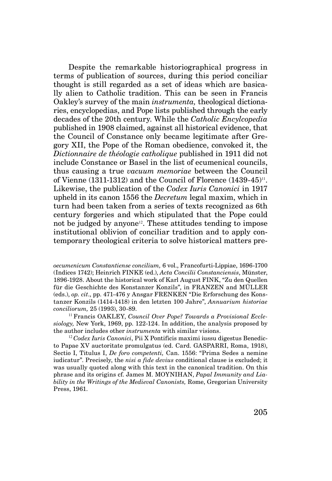Despite the remarkable historiographical progress in terms of publication of sources, during this period conciliar thought is still regarded as a set of ideas which are basically alien to Catholic tradition. This can be seen in Francis Oakley's survey of the main *instrumenta,* theological dictionaries, encyclopedias, and Pope lists published through the early decades of the 20th century. While the *Catholic Encylcopedia*  published in 1908 claimed, against all historical evidence, that the Council of Constance only became legitimate after Gregory XII, the Pope of the Roman obedience, convoked it, the *Dictionnaire de théologie catholique* published in 1911 did not include Constance or Basel in the list of ecumenical councils, thus causing a true *vacuum memoriae* between the Council of Vienne  $(1311-1312)$  and the Council of Florence  $(1439-45)$ <sup>11</sup>. Likewise, the publication of the *Codex Iuris Canonici* in 1917 upheld in its canon 1556 the *Decretum* legal maxim, which in turn had been taken from a series of texts recognized as 6th century forgeries and which stipulated that the Pope could not be judged by anyone<sup>12</sup>. These attitudes tending to impose institutional oblivion of conciliar tradition and to apply contemporary theological criteria to solve historical matters pre-

*oecumenicum Constantiense concilium,* 6 vol., Francofurti-Lippiae, 1696-1700 (Indices 1742); Heinrich FINKE (ed.), *Acta Concilii Constanciensis*, Münster, 1896-1928. About the historical work of Karl August FINK, "Zu den Quellen für die Geschichte des Konstanzer Konzils", in FRANZEN and MÜLLER (eds.), *op. cit*., pp. 471-476 y Ansgar FRENKEN "Die Erforschung des Konstanzer Konzils (1414-1418) in den letzten 100 Jahre", *Annuarium historiae conciliorum,* 25 (1993), 30-89.

11 Francis OAKLEY, *Council Over Pope? Towards a Provisional Ecclesiology,* New York, 1969, pp. 122-124. In addition, the analysis proposed by the author includes other *instrumenta* with similar visions.

12 *Codex Iuris Canonici*, Pii X Pontificis maximi iussu digestus Benedicto Papae XV auctoritate promulgatus (ed. Card. GASPARRI, Roma, 1918), Sectio I, Titulus I, *De foro competenti,* Can. 1556: "Prima Sedes a nemine iudicatur". Precisely, the *nisi a fide devius* conditional clause is excluded; it was usually quoted along with this text in the canonical tradition. On this phrase and its origins cf. James M. MOYNIHAN, *Papal Immunity and Liability in the Writings of the Medieval Canonists,* Rome, Gregorian University Press, 1961.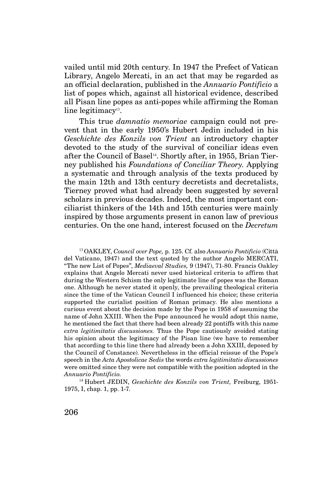vailed until mid 20th century. In 1947 the Prefect of Vatican Library, Angelo Mercati, in an act that may be regarded as an official declaration, published in the *Annuario Pontificio* a list of popes which, against all historical evidence, described all Pisan line popes as anti-popes while affirming the Roman line legitimacy<sup>13</sup>.

This true *damnatio memoriae* campaign could not prevent that in the early 1950's Hubert Jedin included in his *Geschichte des Konzils von Trient* an introductory chapter devoted to the study of the survival of conciliar ideas even after the Council of Basel<sup>14</sup>. Shortly after, in 1955, Brian Tierney published his *Foundations of Conciliar Theory.* Applying a systematic and through analysis of the texts produced by the main 12th and 13th century decretists and decretalists, Tierney proved what had already been suggested by several scholars in previous decades. Indeed, the most important conciliarist thinkers of the 14th and 15th centuries were mainly inspired by those arguments present in canon law of previous centuries. On the one hand, interest focused on the *Decretum* 

<sup>13</sup>OAKLEY, *Council over Pope,* p. 125. Cf. also *Annuario Pontificio* (Città del Vaticano, 1947) and the text quoted by the author Angelo MERCATI, "The new List of Popes", *Mediaeval Studies,* 9 (1947), 71-80. Francis Oakley explains that Angelo Mercati never used historical criteria to affirm that during the Western Schism the only legitimate line of popes was the Roman one. Although he never stated it openly, the prevailing theological criteria since the time of the Vatican Council I influenced his choice; these criteria supported the curialist position of Roman primacy. He also mentions a curious event about the decision made by the Pope in 1958 of assuming the name of John XXIII. When the Pope announced he would adopt this name, he mentioned the fact that there had been already 22 pontiffs with this name *extra legitimitatis discussiones.* Thus the Pope cautiously avoided stating his opinion about the legitimacy of the Pisan line (we have to remember that according to this line there had already been a John XXIII, deposed by the Council of Constance). Nevertheless in the official reissue of the Pope's speech in the *Acta Apostolicae Sedis* the words *extra legitimitatis discussiones*  were omitted since they were not compatible with the position adopted in the *Annuario Pontificio.* 

<sup>14</sup> Hubert JEDIN, *Geschichte des Konzils von Trient*, Freiburg, 1951-1975, I, chap. 1, pp. 1-7.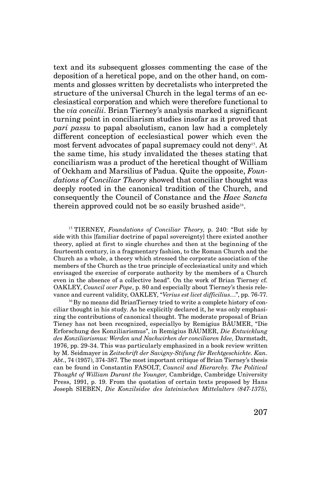text and its subsequent glosses commenting the case of the deposition of a heretical pope, and on the other hand, on comments and glosses written by decretalists who interpreted the structure of the universal Church in the legal terms of an ecclesiastical corporation and which were therefore functional to the *via concilii*. Brian Tierney's analysis marked a significant turning point in conciliarism studies insofar as it proved that *pari passu* to papal absolutism, canon law had a completely different conception of ecclesiastical power which even the most fervent advocates of papal supremacy could not deny<sup>15</sup>. At the same time, his study invalidated the theses stating that conciliarism was a product of the heretical thought of William of Ockham and Marsilius of Padua. Quite the opposite, *Foundations of Conciliar Theory* showed that conciliar thought was deeply rooted in the canonical tradition of the Church, and consequently the Council of Constance and the *Haec Sancta*  therein approved could not be so easily brushed aside<sup>16</sup>.

<sup>15</sup> TIERNEY, *Foundations of Conciliar Theory*, p. 240: "But side by side with this [familiar doctrine of papal sovereignty] there existed another theory, aplied at first to single churches and then at the beginning of the fourteenth century, in a fragmentary fashion, to the Roman Church and the Church as a whole, a theory which stressed the corporate association of the members of the Church as the true principle of ecclesiastical unity and which envisaged the exercise of corporate authority by the members of a Church even in the absence of a collective head". On the work of Brian Tierney cf. OAKLEY, *Council over Pope*, p. 80 and especially about Tierney's thesis relevance and current validity, OAKLEY, "*Verius est licet difficilius*…", pp. 76-77.

16 By no means did BrianTierney tried to write a complete history of conciliar thought in his study. As he explicitly declared it, he was only emphasizing the contributions of canonical thought. The moderate proposal of Brian Tieney has not been recognized, especiallyo by Remigius BÄUMER, "Die Erforschung des Konziliarismus", in Remigius BÄUMER, *Die Entwicklung des Konziliarismus: Werden und Nachwirken der conciliaren Idee,* Darmstadt, 1976, pp. 29-34. This was particularly emphasized in a book review written by M. Seidmayer in *Zeitschrift der Savigny-Stifung für Rechtgeschichte. Kan. Abt.*, 74 (1957), 374-387. The most important critique of Brian Tierney's thesis can be found in Constantin FASOLT, *Council and Hierarchy. The Political Thought of William Durant the Younger,* Cambridge, Cambridge University Press, 1991, p. 19. From the quotation of certain texts proposed by Hans Joseph SIEBEN, *Die Konzilsidee des lateinischen Mittelalters (847-1375),*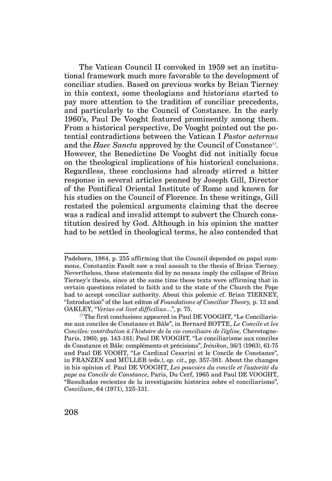The Vatican Council II convoked in 1959 set an institutional framework much more favorable to the development of conciliar studies. Based on previous works by Brian Tierney in this context, some theologians and historians started to pay more attention to the tradition of conciliar precedents, and particularly to the Council of Constance. In the early 1960's, Paul De Vooght featured prominently among them. From a historical perspective, De Vooght pointed out the potential contradictions between the Vatican I *Pastor aeternus*  and the *Haec Sancta* approved by the Council of Constance<sup>17</sup>. However, the Benedictine De Vooght did not initially focus on the theological implications of his historical conclusions. Regardless, these conclusions had already stirred a bitter response in several articles penned by Joseph Gill, Director of the Pontifical Oriental Institute of Rome and known for his studies on the Council of Florence. In these writings, Gill restated the polemical arguments claiming that the decree was a radical and invalid attempt to subvert the Church constitution desired by God. Although in his opinion the matter had to be settled in theological terms, he also contended that

Padeborn, 1984, p. 255 affirming that the Council depended on papal summons, Constantin Fasolt saw a real assault to the thesis of Brian Tierney. Nevertheless, these statements did by no means imply the collapse of Brian Tierney's thesis, since at the same time these texts were affirming that in certain questions related to faith and to the state of the Church the Pope had to accept conciliar authority. About this polemic cf. Brian TIERNEY, "Introduction" of the last editon of *Foundations of Conciliar Theory,* p. 13 and OAKLEY, "*Verius est licet difficilius*…", p. 75.

<sup>&</sup>lt;sup>17</sup> The first conclusions appeared in Paul DE VOOGHT, "Le Conciliarisme aux conciles de Constance et Bâle", in Bernard BOTTE, *Le Concile et les Conciles: contribution à l'histoire de la vie conciliaire de l'église,* Chevetogne-Paris, 1960, pp. 143-181; Paul DE VOOGHT, "Le conciliarisme aux conciles de Constance et Bâle: compléments et précisions", *Irénikon*, 36/1 (1963), 61-75 and Paul DE VOOHT, "Le Cardinal Cesarini et le Concile de Constance", in FRANZEN and MÜLLER (eds.), *op. cit.*, pp. 357-381. About the changes in his opinion cf. Paul DE VOOGHT, *Les pouvoirs du concile et l'autorité du pape au Concile de Constance*, Paris, Du Cerf, 1965 and Paul DE VOOGHT, "Resultados recientes de la investigación histórica sobre el conciliarismo", *Concilium*, 64 (1971), 125-131.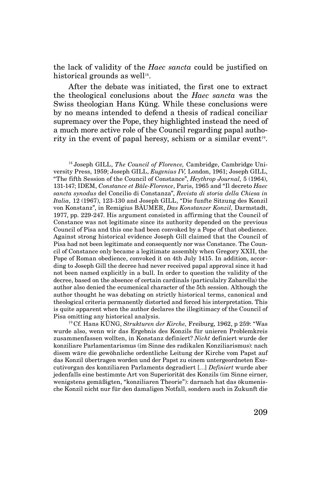the lack of validity of the *Haec sancta* could be justified on historical grounds as well<sup>18</sup>.

After the debate was initiated, the first one to extract the theological conclusions about the *Haec sancta* was the Swiss theologian Hans Küng. While these conclusions were by no means intended to defend a thesis of radical conciliar supremacy over the Pope, they highlighted instead the need of a much more active role of the Council regarding papal authority in the event of papal heresy, schism or a similar event<sup>19</sup>.

18 Joseph GILL, *The Council of Florence,* Cambridge, Cambridge University Press, 1959; Joseph GILL, *Eugenius IV,* London, 1961; Joseph GILL, "The fifth Session of the Council of Constance", *Heythrop Journal,* 5 (1964), 131-147; IDEM, *Constance et Bâle-Florence*, Paris, 1965 and "Il decreto *Haec sancta synodus* del Concilio di Constanza", *Revista di storia della Chiesa in Italia,* 12 (1967), 123-130 and Joseph GILL, "Die funfte Sitzung des Konzil von Konstanz", in Remigius BÄUMER, *Das Konstanzer Konzil,* Darmstadt, 1977, pp. 229-247. His argument consisted in affirming that the Council of Constance was not legitimate since its authority depended on the previous Council of Pisa and this one had been convoked by a Pope of that obedience. Against strong historical evidence Joseph Gill claimed that the Council of Pisa had not been legitimate and consequently nor was Constance. The Council of Constance only became a legitimate assembly when Gregory XXII, the Pope of Roman obedience, convoked it on 4th July 1415. In addition, according to Joseph Gill the decree had never received papal approval since it had not been named explicitly in a bull. In order to question the validity of the decree, based on the absence of certain cardinals (particulalry Zabarella) the author also denied the ecumenical character of the 5th session. Although the author thought he was debating on strictly historical terms, canonical and theological criteria permanently distorted and forced his interpretation. This is quite apparent when the author declares the illegitimacy of the Council of Pisa omitting any historical analysis.

<sup>19</sup>Cf. Hans KÜNG, *Strukturen der Kirche,* Freiburg, 1962, p 259: "Was wurde also, wenn wir das Ergebnis des Konzils für unieren Problemkreis zusammenfassen wollten, in Konstanz definiert? *Nicht* definiert wurde der konziliare Parlamentarismus (im Sinne des radikalen Konziliarismus): nach disem wäre die gewöhnliche ordentliche Leitung der Kirche vom Papst auf das Konzil übertragen worden und der Papst zu einem untergeordneten Executivorgan des konziliaren Parlaments degradiert […] *Definiert* wurde aber jedenfalls eine bestimmte Art von Superiorität des Konzils (im Sinne eirner, wenigstens gemäßigten, "konziliaren Theorie"): darnach hat das ökumenische Konzil nicht nur für den damaligen Notfall, sondern auch in Zukunft die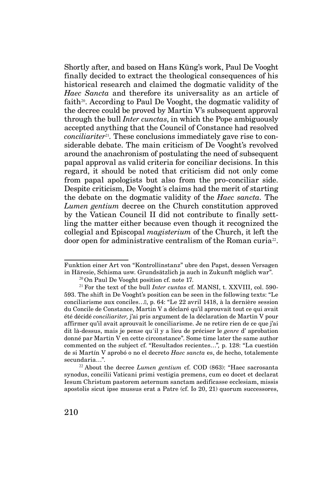Shortly after, and based on Hans Küng's work, Paul De Vooght finally decided to extract the theological consequences of his historical research and claimed the dogmatic validity of the *Haec Sancta* and therefore its universality as an article of faith<sup>20</sup>. According to Paul De Vooght, the dogmatic validity of the decree could be proved by Martin V's subsequent approval through the bull *Inter cunctas*, in which the Pope ambiguously accepted anything that the Council of Constance had resolved *conciliariter*<sup>21</sup>. These conclusions immediately gave rise to considerable debate. The main criticism of De Vooght's revolved around the anachronism of postulating the need of subsequent papal approval as valid criteria for conciliar decisions. In this regard, it should be noted that criticism did not only come from papal apologists but also from the pro-conciliar side. Despite criticism, De Vooght´s claims had the merit of starting the debate on the dogmatic validity of the *Haec sancta.* The *Lumen gentium* decree on the Church constitution approved by the Vatican Council II did not contribute to finally settling the matter either because even though it recognized the collegial and Episcopal *magisterium* of the Church, it left the door open for administrative centralism of the Roman curia<sup>22</sup>.

Funktion einer Art von "Kontrollinstanz" ubre den Papst, dessen Versagen in Häresie, Schisma usw. Grundsätzlich ja auch in Zukunft möglich war".

 $20$ On Paul De Vooght position cf. note 17.

<sup>21</sup>For the text of the bull *Inter cuntas* cf. MANSI, t. XXVIII, col. 590- 593. The shift in De Vooght's position can be seen in the following texts: "Le conciliarisme aux conciles…ˮ, p. 64: "Le 22 avril 1418, à la dernière session du Concile de Constance, Martin V a déclaré qu'il aprouvait tout ce qui avait été décidé *conciliariter,* j'ai pris argument de la déclaration de Martin V pour affirmer qu'il avait aprouvait le conciliarisme. Je ne retire rien de ce que j'ai dit là-dessus, mais je pense qu´il y a lieu de préciser le *genre* d' aprobation donné par Martin V en cette circonstance". Some time later the same author commented on the subject cf. "Resultados recientes…"*,* p. 128: "La cuestión de si Martín V aprobó o no el decreto *Haec sancta* es, de hecho, totalemente secundaria…".

<sup>22</sup>About the decree *Lumen gentium* cf. COD (863): "Haec sacrosanta synodus, concilii Vaticani primi vestigia premens, cum eo docet et declarat Iesum Christum pastorem aeternum sanctam aedificasse ecclesiam, missis apostolis sicut ipse mussus erat a Patre (cf. Io 20, 21) quorum successores,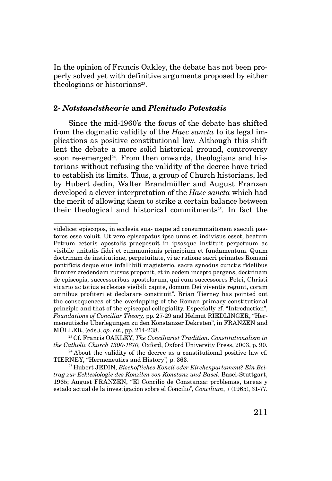In the opinion of Francis Oakley, the debate has not been properly solved yet with definitive arguments proposed by either theologians or historians<sup>23</sup>.

## **2-** *Notstandstheorie* **and** *Plenitudo Potestatis*

Since the mid-1960's the focus of the debate has shifted from the dogmatic validity of the *Haec sancta* to its legal implications as positive constitutional law. Although this shift lent the debate a more solid historical ground, controversy soon re-emerged<sup> $24$ </sup>. From then onwards, theologians and historians without refusing the validity of the decree have tried to establish its limits. Thus, a group of Church historians, led by Hubert Jedin, Walter Brandmüller and August Franzen developed a clever interpretation of the *Haec sancta* which had the merit of allowing them to strike a certain balance between their theological and historical commitments<sup>25</sup>. In fact the

videlicet episcopos, in ecclesia sua- usque ad consummaitonem saeculi pastores esse voluit. Ut vero episcopatus ipse unus et indivisus esset, beatum Petrum ceteris apostolis praeposuit in ipsosque instituit perpetuum ac visibile unitatis fidei et cummunionis principium et fundamentum. Quam doctrinam de institutione, perpetuitate, vi ac ratione sacri primates Romani pontificis deque eius infallibili magisterio, sacra synodus cunctis fidelibus firmiter credendam rursus proponit, et in eodem incepto pergens, doctrinam de episcopis, successoribus apostolorum, qui cum successores Petri, Christi vicario ac totius ecclesiae visibili capite, domum Dei viventis regunt, coram omnibus profiteri et declarare constituit". Brian Tierney has pointed out the consequences of the overlapping of the Roman primacy constitutional principle and that of the episcopal collegiality. Especially cf. "Introduction", *Foundations of Conciliar Theory,* pp. 27-29 and Helmut RIEDLINGER, "Hermeneutische Überlegungen zu den Konstanzer Dekreten", in FRANZEN and MÜLLER, (eds.), *op. cit*., pp. 214-238.

<sup>23</sup>Cf. Francis OAKLEY, *The Conciliarist Tradition. Constitutionalism in the Catholic Church 1300-1870,* Oxford, Oxford University Press, 2003, p. 90.

 $24$  About the validity of the decree as a constitutional positive law cf. TIERNEY, "Hermeneutics and History"*,* p. 363.

<sup>25</sup> Hubert JEDIN, *Bischofliches Konzil oder Kirchenparlament? Ein Beitrag zur Ecklesiologie des Konzilen von Konstanz und Basel,* Basel-Stuttgart, 1965; August FRANZEN, "El Concilio de Constanza: problemas, tareas y estado actual de la investigación sobre el Concilio", *Concilium*, 7 (1965), 31-77.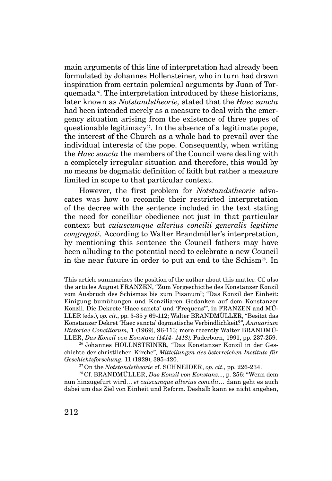main arguments of this line of interpretation had already been formulated by Johannes Hollensteiner, who in turn had drawn inspiration from certain polemical arguments by Juan of Torquemada26. The interpretation introduced by these historians, later known as *Notstandstheorie,* stated that the *Haec sancta* had been intended merely as a measure to deal with the emergency situation arising from the existence of three popes of questionable legitimacy<sup>27</sup>. In the absence of a legitimate pope, the interest of the Church as a whole had to prevail over the individual interests of the pope. Consequently, when writing the *Haec sancta* the members of the Council were dealing with a completely irregular situation and therefore, this would by no means be dogmatic definition of faith but rather a measure limited in scope to that particular context.

However, the first problem for *Notstandstheorie* advocates was how to reconcile their restricted interpretation of the decree with the sentence included in the text stating the need for conciliar obedience not just in that particular context but *cuiuscumque alterius concilii generalis legitime congregati.* According to Walter Brandmüller's interpretation, by mentioning this sentence the Council fathers may have been alluding to the potential need to celebrate a new Council in the near future in order to put an end to the Schism<sup>28</sup>. In

This article summarizes the position of the author about this matter. Cf. also the articles August FRANZEN, "Zum Vorgeschicthe des Konstanzer Konzil vom Ausbruch des Schismas bis zum Pisanum"; "Das Konzil der Einheit: Einigung bumühungen und Konziliaren Gedanken auf dem Konstanzer Konzil. Die Dekrete 'Haec sancta' und 'Frequens'", in FRANZEN and MÜ-LLER (eds.), *op. cit*., pp. 3-35 y 69-112; Walter BRANDMÜLLER, "Besitzt das Konstanzer Dekret 'Haec sancta' dogmatische Verbindlichkeit?", *Annuarium Historiae Conciliorum,* 1 (1969), 96-113; more recently Walter BRANDMÜ-LLER, *Das Konzil von Konstanz (1414- 1418),* Paderborn, 1991, pp. 237-259.

26 Johannes HOLLNSTEINER, "Das Konstanzer Konzil in der Geschichte der christlichen Kirche", *Mitteilungen des österreichen Instituts für Geschichtsforschung,* 11 (1929), 395-420.

27 On the *Notstandstheorie* cf. SCHNEIDER, *op. cit*., pp. 226-234.

<sup>28</sup>Cf. BRANDMÜLLER, *Das Konzil von Konstanz...*, p. 256: "Wenn dem nun hinzugefurt wird… *et cuiscumque alterius concilii…* dann geht es auch dabei um das Ziel von Einheit und Reform. Deshalb kann es nicht angehen,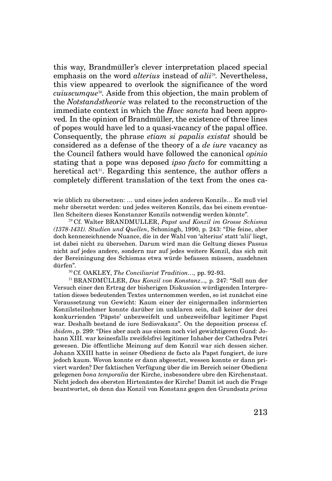this way, Brandmüller's clever interpretation placed special emphasis on the word *alterius* instead of *alii*<sup>29</sup>. Nevertheless, this view appeared to overlook the significance of the word *cuiuscumque*30*.* Aside from this objection, the main problem of the *Notstandstheorie* was related to the reconstruction of the immediate context in which the *Haec sancta* had been approved*.* In the opinion of Brandmüller, the existence of three lines of popes would have led to a quasi-vacancy of the papal office. Consequently, the phrase *etiam si papalis existat* should be considered as a defense of the theory of a *de iure* vacancy as the Council fathers would have followed the canonical *opinio*  stating that a pope was deposed *ipso facto* for committing a heretical act<sup>31</sup>. Regarding this sentence, the author offers a completely different translation of the text from the ones ca-

wie üblich zu übersetzen: … und eines jeden anderen Konzils… Es muß viel mehr übersetzt werden: und jedes weiteren Konzils, das bei einem eventuellen Scheitern dieses Konstanzer Konzils notwendig werden könnte".

<sup>29</sup>Cf. Walter BRANDMULLER, *Papst und Konzil im Grosse Schisma (1378-1431). Studien und Quellen*, Schoningh, 1990, p. 243: "Die feine, aber doch kennezeichnende Nuance, die in der Wahl von 'alterius' statt 'alii' liegt, ist dabei nicht zu übersehen. Darum wird man die Geltung dieses Passus nicht auf jedes andere, sondern nur auf jedes weitere Konzil, das sich mit der Bereiningung des Schismas etwa würde befassen müssen, ausdehnen dürfen".

<sup>30</sup>Cf. OAKLEY, *The Conciliarist Tradition…,* pp. 92-93.

<sup>31</sup>BRANDMÜLLER, *Das Konzil von Konstanz*...*,* p. 247: "Soll nun der Versuch einer den Ertrag der bisherigen Diskussion würdigenden Interpretation dieses bedeutenden Textes unternommen werden, so ist zunächst eine Voraussetzung von Gewicht: Kaum einer der einigermaßen informierten Konzilsteilnehmer konnte darüber im unklaren sein, daß keiner der drei konkurrienden 'Päpste' unbezweifelt und unbezweifelbar legitimer Papst war. Deshalb bestand de iure Sedisvakanz". On the deposition process cf. *ibidem*, p. 299: "Dies aber auch aus einem noch viel gewichtigeren Gund: Johann XIII. war keinesfalls zweifelsfrei legitimer Inhaber der Cathedra Petri gewesen. Die öffentliche Meinung auf dem Konzil war sich dessen sicher. Johann XXIII hatte in seiner Obedienz de facto als Papst fungiert, de iure jedoch kaum. Wovon konnte er dann abgesetzt, wessen konnte er dann priviert warden? Der faktischen Verfügung über die im Bereich seiner Obedienz gelegenen *bona temporalia* der Kirche, insbesondere ubre den Kirchenstaat. Nicht jedoch des obersten Hirtenämtes der Kirche! Damit ist auch die Frage beantwortet, ob denn das Konzil von Konstanz gegen den Grundsatz *prima*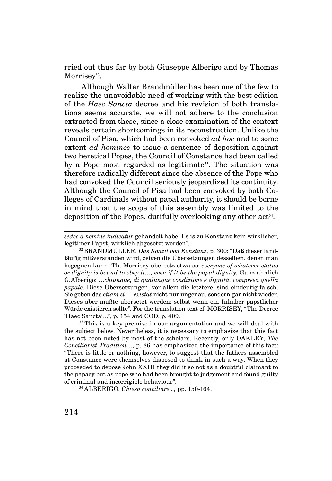rried out thus far by both Giuseppe Alberigo and by Thomas Morrisey<sup>32</sup>.

 Although Walter Brandmüller has been one of the few to realize the unavoidable need of working with the best edition of the *Haec Sancta* decree and his revision of both translations seems accurate, we will not adhere to the conclusion extracted from these, since a close examination of the context reveals certain shortcomings in its reconstruction. Unlike the Council of Pisa, which had been convoked *ad hoc* and to some extent *ad homines* to issue a sentence of deposition against two heretical Popes, the Council of Constance had been called by a Pope most regarded as legitimate<sup>33</sup>. The situation was therefore radically different since the absence of the Pope who had convoked the Council seriously jeopardized its continuity. Although the Council of Pisa had been convoked by both Colleges of Cardinals without papal authority, it should be borne in mind that the scope of this assembly was limited to the deposition of the Popes, dutifully overlooking any other  $act<sup>34</sup>$ .

34 ALBERIGO, *Chiesa conciliare...,* pp. 150-164.

*sedes a nemine iudicatur* gehandelt habe. Es is zu Konstanz kein wirklicher, legitimer Papst, wirklich abgesetzt worden".

<sup>32</sup> BRANDMÜLLER, *Das Konzil von Konstanz,* p. 300: "Daß dieser landläufig mißverstanden wird, zeigen die Übersetzungen desselben, denen man begegnen kann. Th. Morrisey übersetz etwa so: *everyone of whatever status or dignity is bound to obey it…, even if it be the papal dignity.* Ganz ähnlich G.Alberigo: …*chiunque, di qualunque condizione e dignità, compresa quella papale.* Diese Übersetzungen, vor allem die letztere, sind eindeutig falsch. Sie geben das *etiam si … existat* nicht nur ungenau, sondern gar nicht wieder. Dieses aber müßte übersetzt werden: selbst wenn ein Inhaber päpstlicher Würde existieren sollte". For the translation text cf. MORRISEY, "The Decree 'Haec Sancta'…"*,* p. 154 and COD, p. 409.

 $33$  This is a key premise in our argumentation and we will deal with the subject below. Nevertheless, it is necessary to emphasize that this fact has not been noted by most of the scholars. Recently, only OAKLEY, *The Conciliarist Tradition…*, p. 86 has emphasized the importance of this fact: "There is little or nothing, however, to suggest that the fathers assembled at Constance were themselves disposed to think in such a way. When they proceeded to depose John XXIII they did it so not as a doubtful claimant to the papacy but as pope who had been brought to judgement and found guilty of criminal and incorrigible behaviour".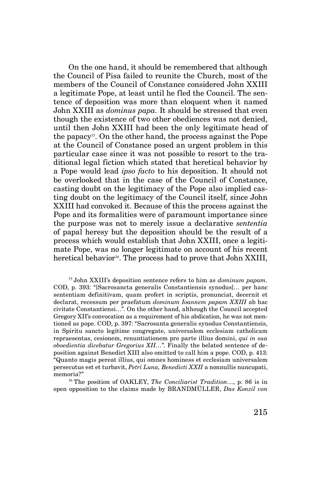On the one hand, it should be remembered that although the Council of Pisa failed to reunite the Church, most of the members of the Council of Constance considered John XXIII a legitimate Pope, at least until he fled the Council. The sentence of deposition was more than eloquent when it named John XXIII as *dominus papa.* It should be stressed that even though the existence of two other obediences was not denied, until then John XXIII had been the only legitimate head of the papacy<sup>35</sup>. On the other hand, the process against the Pope at the Council of Constance posed an urgent problem in this particular case since it was not possible to resort to the traditional legal fiction which stated that heretical behavior by a Pope would lead *ipso facto* to his deposition. It should not be overlooked that in the case of the Council of Constance, casting doubt on the legitimacy of the Pope also implied casting doubt on the legitimacy of the Council itself, since John XXIII had convoked it. Because of this the process against the Pope and its formalities were of paramount importance since the purpose was not to merely issue a declarative *sententia*  of papal heresy but the deposition should be the result of a process which would establish that John XXIII, once a legitimate Pope, was no longer legitimate on account of his recent heretical behavior<sup>36</sup>. The process had to prove that John XXIII,

<sup>35</sup>John XXIII's deposition sentence refers to him as *dominum papam.*  COD, p. 393: "[Sacrosancta generalis Constantiensis synodus]… per hanc sententiam definitivam, quam profert in scriptis, pronunciat, decernit et declarat, recessum per praefatum *dominum Ioannem papam XXIII* ab hac civitate Constantiensi…". On the other hand, although the Council accepted Gregory XII's convocation as a requirement of his abdication, he was not mentioned as pope. COD, p. 397: "Sacrosanta generalis synodus Constantiensis, in Spiritu sancto legitime congregate, universalem ecclesiam catholicam repraesentas, cesionem, renuntiationem pro parte illius domini, *qui in sua oboedientia dicebatur Gregorius XII…*". Finally the belated sentence of deposition against Benedict XIII also omitted to call him a pope. COD, p. 413: "Quanto magis pereat illius, qui omnes hominess et ecclesiam universalem persecutus est et turbavit, *Petri Luna, Benedicti XXII* a nonnullis nuncupati, memoria?"

<sup>36</sup>The position of OAKLEY, *The Conciliarist Tradition…*, p. 86 is in open opposition to the claims made by BRANDMÜLLER, *Das Konzil von*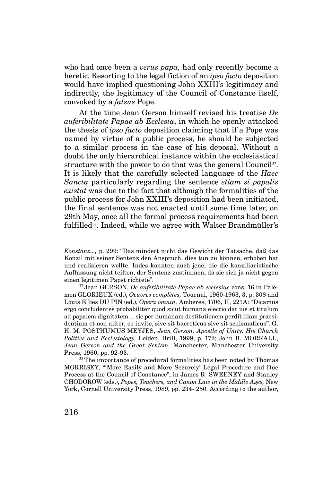who had once been a *verus papa,* had only recently become a heretic. Resorting to the legal fiction of an *ipso facto* deposition would have implied questioning John XXIII's legitimacy and indirectly, the legitimacy of the Council of Constance itself, convoked by a *falsus* Pope.

At the time Jean Gerson himself revised his treatise *De auferibilitate Papae ab Ecclesia*, in which he openly attacked the thesis of *ipso facto* deposition claiming that if a Pope was named by virtue of a public process, he should be subjected to a similar process in the case of his deposal. Without a doubt the only hierarchical instance within the ecclesiastical structure with the power to do that was the general Council<sup>37</sup>. It is likely that the carefully selected language of the *Haec Sancta* particularly regarding the sentence *etiam si papalis existat* was due to the fact that although the formalities of the public process for John XXIII's deposition had been initiated, the final sentence was not enacted until some time later, on 29th May, once all the formal process requirements had been fulfilled<sup>38</sup>. Indeed, while we agree with Walter Brandmüller's

*Konstanz...,* p. 299: "Das mindert nicht das Gewicht der Tatsache, daß das Konzil mit seiner Sentenz den Anspruch, dies tun zu können, erhoben hat und realisieren wollte. Indes konnten auch jene, die die konziliaristische Auffassung nicht teilten, der Sentenz zustimmen, da sie sich ja nicht gegen einen legitimen Papst richtete".

37 Jean GERSON, *De auferibilitate Papae ab ecclesiae* cons. 16 in Palémon GLORIEUX (ed.), *Oeuvres complètes,* Tournai, 1960-1963, 3, p. 308 and Louis Ellies DU PIN (ed.), *Opera omnia,* Amberes, 1706, II, 221A: "Dicamus ergo concludentes probabiliter quod sicut humana electio dat ius et titulum ad papalem dignitatem… sic per humanam destitutionem perdit illam praesidentiam et non aliter, eo invito, sive sit haereticus sive sit schismaticus". G. H. M. POSTHUMUS MEYJES, *Jean Gerson. Apostle of Unity. His Church Politics and Ecclesiology,* Leiden, Brill, 1999, p. 172; John B. MORRALL, *Jean Gerson and the Great Schism,* Manchester*,* Manchester University Press, 1960, pp. 92-93.

<sup>38</sup>The importance of procedural formalities has been noted by Thomas MORRISEY, "'More Easily and More Securely' Legal Procedure and Due Process at the Council of Constance", in James R. SWEENEY and Stanley CHODOROW (eds.), *Popes, Teachers, and Canon Law in the Middle Ages,* New York, Cornell University Press, 1989, pp. 234- 250. According to the author,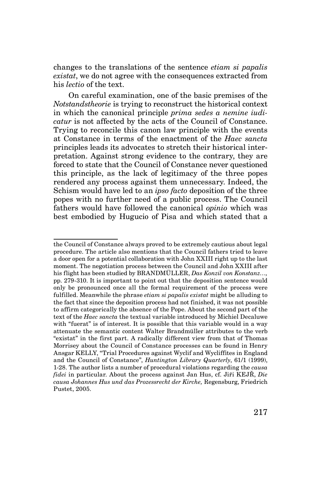changes to the translations of the sentence *etiam si papalis existat*, we do not agree with the consequences extracted from his *lectio* of the text.

On careful examination, one of the basic premises of the *Notstandstheorie* is trying to reconstruct the historical context in which the canonical principle *prima sedes a nemine iudicatur* is not affected by the acts of the Council of Constance. Trying to reconcile this canon law principle with the events at Constance in terms of the enactment of the *Haec sancta*  principles leads its advocates to stretch their historical interpretation. Against strong evidence to the contrary, they are forced to state that the Council of Constance never questioned this principle, as the lack of legitimacy of the three popes rendered any process against them unnecessary. Indeed, the Schism would have led to an *ipso facto* deposition of the three popes with no further need of a public process. The Council fathers would have followed the canonical *opinio* which was best embodied by Hugucio of Pisa and which stated that a

the Council of Constance always proved to be extremely cautious about legal procedure. The article also mentions that the Council fathers tried to leave a door open for a potential collaboration with John XXIII right up to the last moment. The negotiation process between the Council and John XXIII after his flight has been studied by BRANDMÜLLER, *Das Konzil von Konstanz…,*  pp. 279-310. It is important to point out that the deposition sentence would only be pronounced once all the formal requirement of the process were fulfilled. Meanwhile the phrase *etiam si papalis existat* might be alluding to the fact that since the deposition process had not finished, it was not possible to affirm categorically the absence of the Pope. About the second part of the text of the *Haec sancta* the textual variable introduced by Michiel Decaluwe with "fuerat" is of interest. It is possible that this variable would in a way attenuate the semantic content Walter Brandmüller attributes to the verb "existat" in the first part. A radically different view from that of Thomas Morrisey about the Council of Constance processes can be found in Henry Ansgar KELLY, "Trial Procedures against Wyclif and Wycliffites in England and the Council of Constance", *Huntington Library Quarterly*, 61/1 (1999), 1-28. The author lists a number of procedural violations regarding the *causa fidei* in particular. About the process against Jan Hus, cf. Jiři KEJŘ, *Die causa Johannes Hus und das Prozessrecht der Kirche,* Regensburg, Friedrich Pustet, 2005.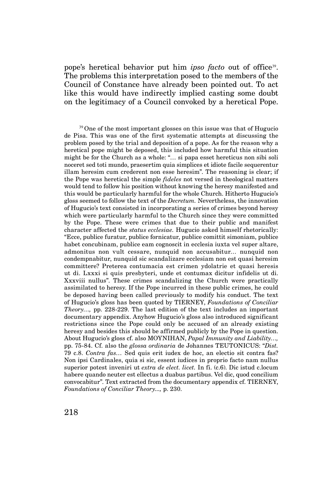pope's heretical behavior put him *ipso facto* out of office<sup>39</sup>. The problems this interpretation posed to the members of the Council of Constance have already been pointed out. To act like this would have indirectly implied casting some doubt on the legitimacy of a Council convoked by a heretical Pope.

 $39$ One of the most important glosses on this issue was that of Hugucio de Pisa. This was one of the first systematic attempts at discussing the problem posed by the trial and deposition of a pope. As for the reason why a heretical pope might be deposed, this included how harmful this situation might be for the Church as a whole: "… si papa esset hereticus non sibi soli noceret sed toti mundo, praesertim quia simplices et idiote facile sequerentur illam heresim cum crederent non esse heresim". The reasoning is clear; if the Pope was heretical the simple *fideles* not versed in theological matters would tend to follow his position without knowing the heresy manifested and this would be particularly harmful for the whole Church. Hitherto Hugucio's gloss seemed to follow the text of the *Decretum.* Nevertheless, the innovation of Hugucio's text consisted in incorporating a series of crimes beyond heresy which were particularly harmful to the Church since they were committed by the Pope. These were crimes that due to their public and manifest character affected the *status ecclesiae.* Hugucio asked himself rhetorically: "Ecce, publice furatur, publice fornicatur, publice comittit simoniam, publice habet concubinam, publice eam cognoscit in ecclesia iuxta vel super altare, admonitus non vult cessare, nunquid non accusabitur… nunquid non condempnabitur, nunquid sic scandalizare ecclesiam non est quasi heresim committere? Preterea contumacia est crimen ydolatrie et quasi heresis ut di. Lxxxi si quis presbyteri, unde et contumax dicitur infidelis ut di. Xxxviii nullus". These crimes scandalizing the Church were practically assimilated to heresy. If the Pope incurred in these public crimes, he could be deposed having been called previously to modify his conduct. The text of Hugucio's gloss has been quoted by TIERNEY, *Foundations of Conciliar Theory…,* pp. 228-229. The last edition of the text includes an important documentary appendix. Anyhow Hugucio's gloss also introduced significant restrictions since the Pope could only be accused of an already existing heresy and besides this should be affirmed publicly by the Pope in question. About Hugucio's gloss cf. also MOYNIHAN, *Papal Immunity and Liability…,*  pp. 75-84. Cf. also the *glossa ordinaria* de Johannes TEUTONICUS: "*Dist.*  79 c.8. *Contra fas…* Sed quis erit iudex de hoc, an electio sit contra fas? Non ipsi Cardinales, quia si sic, essent iudices in proprio facto nam nullus superior potest inveniri ut *extra de elect. licet.* In fi. (c.6). Dic istud c.locum habere quando neuter est ellectus a duabus partibus. Vel dic, quod concilium convocabitur". Text extracted from the documentary appendix cf. TIERNEY, *Foundations of Conciliar Theory...,* p. 230.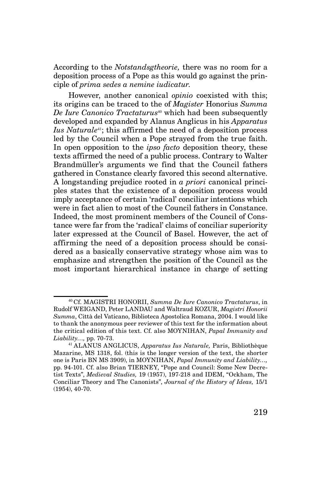According to the *Notstandsgtheorie,* there was no room for a deposition process of a Pope as this would go against the principle of *prima sedes a nemine iudicatur.* 

However, another canonical *opinio* coexisted with this; its origins can be traced to the of *Magister* Honorius *Summa De Iure Canonico Tractaturus*<sup>40</sup> which had been subsequently developed and expanded by Alanus Anglicus in his *Apparatus Ius Naturale*41; this affirmed the need of a deposition process led by the Council when a Pope strayed from the true faith. In open opposition to the *ipso facto* deposition theory, these texts affirmed the need of a public process. Contrary to Walter Brandmüller's arguments we find that the Council fathers gathered in Constance clearly favored this second alternative. A longstanding prejudice rooted in *a priori* canonical principles states that the existence of a deposition process would imply acceptance of certain 'radical' conciliar intentions which were in fact alien to most of the Council fathers in Constance. Indeed, the most prominent members of the Council of Constance were far from the 'radical' claims of conciliar superiority later expressed at the Council of Basel. However, the act of affirming the need of a deposition process should be considered as a basically conservative strategy whose aim was to emphasize and strengthen the position of the Council as the most important hierarchical instance in charge of setting

<sup>40</sup>Cf. MAGISTRI HONORII, *Summa De Iure Canonico Tractaturus*, in Rudolf WEIGAND, Peter LANDAU and Waltraud KOZUR, *Magistri Honorii Summa*, Città del Vaticano, Biblioteca Apostolica Romana, 2004. I would like to thank the anonymous peer reviewer of this text for the information about the critical edition of this text. Cf. also MOYNIHAN, *Papal Immunity and Liability…,* pp. 70-73.

<sup>41</sup>ALANUS ANGLICUS, *Apparatus Ius Naturale,* Paris, Bibliothèque Mazarine, MS 1318, fol. (this is the longer version of the text, the shorter one is Paris BN MS 3909), in MOYNIHAN, *Papal Immunity and Liability…,*  pp. 94-101. Cf. also Brian TIERNEY, "Pope and Council: Some New Decretist Texts", *Medieval Studies,* 19 (1957), 197-218 and IDEM, "Ockham, The Conciliar Theory and The Canonists", *Journal of the History of Ideas,* 15/1 (1954), 40-70.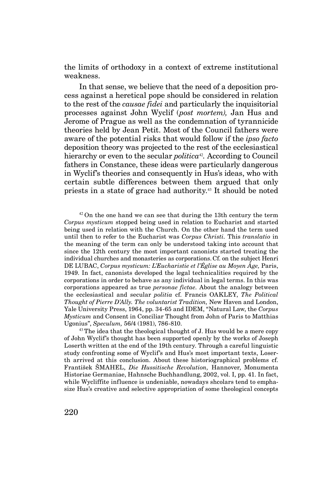the limits of orthodoxy in a context of extreme institutional weakness.

In that sense, we believe that the need of a deposition process against a heretical pope should be considered in relation to the rest of the *causae fidei* and particularly the inquisitorial processes against John Wyclif (*post mortem),* Jan Hus and Jerome of Prague as well as the condemnation of tyrannicide theories held by Jean Petit. Most of the Council fathers were aware of the potential risks that would follow if the *ipso facto* deposition theory was projected to the rest of the ecclesiastical hierarchy or even to the secular *politica*<sup>42</sup>. According to Council fathers in Constance, these ideas were particularly dangerous in Wyclif's theories and consequently in Hus's ideas, who with certain subtle differences between them argued that only priests in a state of grace had authority.43 It should be noted

 $42$  On the one hand we can see that during the 13th century the term *Corpus mysticum* stopped being used in relation to Eucharist and started being used in relation with the Church. On the other hand the term used until then to refer to the Eucharist was *Corpus Christi.* This *translatio* in the meaning of the term can only be understood taking into account that since the 12th century the most important canonists started treating the individual churches and monasteries as corporations.Cf. on the subject Henri DE LUBAC, *Corpus mysticum: L'Eucharistie et l'Église au Moyen Âge,* Paris, 1949. In fact, canonists developed the legal technicalities required by the corporations in order to behave as any individual in legal terms. In this was corporations appeared as true *personae fictae.* About the analogy between the ecclesiastical and secular *politia* cf. Francis OAKLEY, *The Political Thought of Pierre D'Ally. The voluntarist Tradition,* New Haven and London, Yale University Press, 1964, pp. 34-65 and IDEM, "Natural Law, the *Corpus Mysticum* and Consent in Conciliar Thought from John of Paris to Matthias Ugonius", *Speculum,* 56/4 (1981), 786-810.

 $43$  The idea that the theological thought of J. Hus would be a mere copy of John Wyclif's thought has been supported openly by the works of Joseph Loserth written at the end of the 19th century. Through a careful linguistic study confronting some of Wyclif's and Hus's most important texts, Loserth arrived at this conclusion. About these historiographical problems cf. František ŠMAHEL, *Die Hussitische Revolution,* Hannover, Monumenta Historiae Germaniae, Hahnsche Buchhandlung, 2002, vol. I, pp. 41. In fact, while Wycliffite influence is undeniable, nowadays shcolars tend to emphasize Hus's creative and selective appropriation of some theological concepts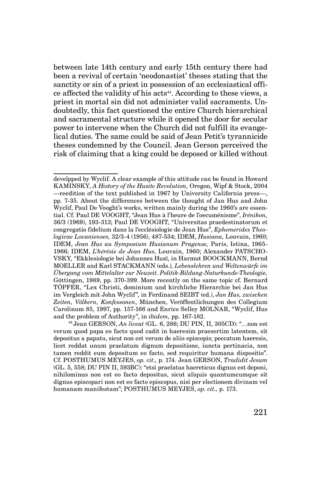between late 14th century and early 15th century there had been a revival of certain 'neodonastist' theses stating that the sanctity or sin of a priest in possession of an ecclesiastical office affected the validity of his acts<sup>44</sup>. According to these views, a priest in mortal sin did not administer valid sacraments. Undoubtedly, this fact questioned the entire Church hierarchical and sacramental structure while it opened the door for secular power to intervene when the Church did not fulfill its evangelical duties. The same could be said of Jean Petit's tyrannicide theses condemned by the Council. Jean Gerson perceived the risk of claiming that a king could be deposed or killed without

develpped by Wyclif. A clear example of this attitude can be found in Howard KAMINSKY, *A History of the Husite Revolution,* Oregon, Wipf & Stock, 2004 —reedition of the text published in 1967 by University California press—, pp. 7-35. About the differences between the thought of Jan Hus and John Wyclif, Paul De Vooght's works, written mainly during the 1960's are essential. Cf. Paul DE VOOGHT, "Jean Hus à l'heure de l'oecuménisme", *Irénikon,* 36/3 (1969), 193-313; Paul DE VOOGHT, "Universitas praedestinatorum et congregatio fidelium dans la l'ecclésiologie de Jean Hus", *Ephemerides Theologicae Lovanienses,* 32/3-4 (1956), 487-534; IDEM, *Husiana,* Louvain, 1960; IDEM, *Jean Hus au Symposium Husianum Pragense,* Paris, Istina, 1965- 1966; IDEM, *L'hérésie de Jean Hus,* Louvain, 1960; Alexander PATSCHO-VSKY, "Ekklesiologie bei Johannes Husˮ, in Harmut BOOCKMANN, Bernd MOELLER and Karl STACKMANN (eds.)*, Lebenslehren und Weltenwürfe im Übergang vom Mittelalter zur Neuzeit. Politik-Bildung-Naturkunde-Theologie,*  Göttingen, 1989, pp. 370-399. More recently on the same topic cf. Bernard TÖPFER, "Lex Christi, dominium und kirchliche Hierarchie bei Jan Hus im Vergleich mit John Wyclif", in Ferdinand SEIBT (ed.), *Jan Hus, zwischen Zeiten, Völkern, Konfessonen*, München, Veröffentlichungen des Collegium Carolinum 85, 1997, pp. 157-166 and Enrico Selley MOLNAR, "Wyclif, Hus and the problem of Authority", in *ibidem,* pp. 167-182.

<sup>44</sup>Jean GERSON, *An liceat* (GL. 6, 286; DU PIN, II, 305CD): "…non est verum quod papa eo facto quod cadit in haeresim praesertim latentem, sit depositus a papatu, sicut non est verum de aliis episcopis; peccatum haeresis, licet reddat unum praelatum dignum depositione, iuncta pertinacia, non tamen reddit eum depositum eo facto, sed requiritur humana dispositio". Cf. POSTHUMUS MEYJES, *op. cit.,* p. 174. Jean GERSON, *Tradidit Jesum*  (GL. 5, 558; DU PIN II, 593BC): "etsi praelatus haereticus dignus est deponi, nihilominus non est eo facto depositus, sicut aliquis quantumcumque sit dignus episcopari non est eo facto episcopus, nisi per electionem divinam vel humanam manifestam"; POSTHUMUS MEYJES, *op. cit.,* p. 173.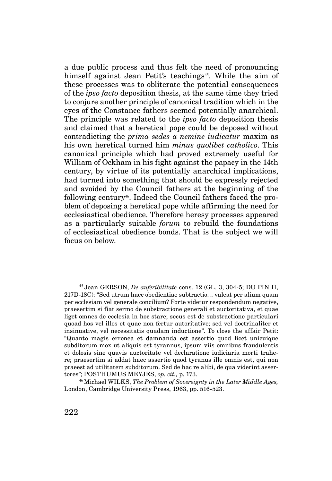a due public process and thus felt the need of pronouncing himself against Jean Petit's teachings<sup>45</sup>. While the aim of these processes was to obliterate the potential consequences of the *ipso facto* deposition thesis, at the same time they tried to conjure another principle of canonical tradition which in the eyes of the Constance fathers seemed potentially anarchical. The principle was related to the *ipso facto* deposition thesis and claimed that a heretical pope could be deposed without contradicting the *prima sedes a nemine iudicatur* maxim as his own heretical turned him *minus quolibet catholico*. This canonical principle which had proved extremely useful for William of Ockham in his fight against the papacy in the 14th century, by virtue of its potentially anarchical implications, had turned into something that should be expressly rejected and avoided by the Council fathers at the beginning of the following century46. Indeed the Council fathers faced the problem of deposing a heretical pope while affirming the need for ecclesiastical obedience. Therefore heresy processes appeared as a particularly suitable *forum* to rebuild the foundations of ecclesiastical obedience bonds. That is the subject we will focus on below.

<sup>45</sup>Jean GERSON, *De auferibilitate* cons. 12 (GL. 3, 304-5; DU PIN II, 217D-18C): "Sed utrum haec obedientiae subtractio… valeat per alium quam per ecclesiam vel generale concilium? Forte videtur respondendum negative, praesertim si fiat sermo de substractione generali et auctoritativa, et quae liget omnes de ecclesia in hoc stare; secus est de substractione particulari quoad hos vel illos et quae non fertur autoritative; sed vel doctrinaliter et insinuative, vel necessitatis quadam inductione". To close the affair Petit: "Quanto magis erronea et damnanda est assertio quod licet unicuique subditorum mox ut aliquis est tyrannus, ipsum viis omnibus fraudulentis et dolosis sine quavis auctoritate vel declaratione iudiciaria morti trahere; praesertim si addat haec assertio quod tyranus ille omnis est, qui non praeest ad utilitatem subditorum. Sed de hac re alibi, de qua viderint assertores"; POSTHUMUS MEYJES, *op. cit.,* p. 173.

<sup>46</sup>Michael WILKS, *The Problem of Sovereignty in the Later Middle Ages,*  London, Cambridge University Press, 1963, pp. 516-523.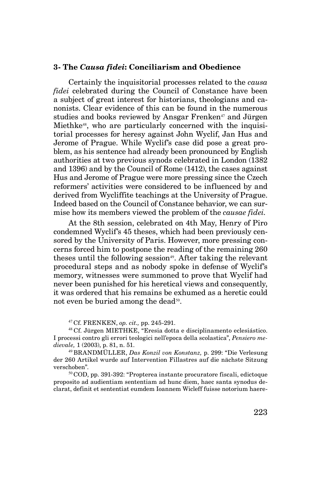#### **3- The** *Causa fidei***: Conciliarism and Obedience**

Certainly the inquisitorial processes related to the *causa fidei* celebrated during the Council of Constance have been a subject of great interest for historians, theologians and canonists. Clear evidence of this can be found in the numerous studies and books reviewed by Ansgar Frenken<sup>47</sup> and Jürgen Miethke<sup>48</sup>, who are particularly concerned with the inquisitorial processes for heresy against John Wyclif, Jan Hus and Jerome of Prague. While Wyclif's case did pose a great problem, as his sentence had already been pronounced by English authorities at two previous synods celebrated in London (1382 and 1396) and by the Council of Rome (1412), the cases against Hus and Jerome of Prague were more pressing since the Czech reformers' activities were considered to be influenced by and derived from Wycliffite teachings at the University of Prague. Indeed based on the Council of Constance behavior, we can surmise how its members viewed the problem of the *causae fidei.*

At the 8th session, celebrated on 4th May, Henry of Piro condemned Wyclif's 45 theses, which had been previously censored by the University of Paris. However, more pressing concerns forced him to postpone the reading of the remaining 260 theses until the following session<sup>49</sup>. After taking the relevant procedural steps and as nobody spoke in defense of Wyclif's memory, witnesses were summoned to prove that Wyclif had never been punished for his heretical views and consequently, it was ordered that his remains be exhumed as a heretic could not even be buried among the dead<sup>50</sup>.

47 Cf. FRENKEN, *op. cit.,* pp. 245-291.

<sup>48</sup>Cf. Jürgen MIETHKE, "Eresia dotta e disciplinamento eclesiástico. I processi contro gli errori teologici nell'epoca della scolastica", *Pensiero medievale,* 1 (2003), p. 81, n. 51.

<sup>49</sup>BRANDMÜLLER, *Das Konzil von Konstanz,* p. 299: "Die Verlesung der 260 Artikel wurde auf Intervention Fillastres auf die nächste Sitzung verschoben".

<sup>50</sup>COD, pp. 391-392: "Propterea instante procuratore fiscali, edictoque proposito ad audientiam sententiam ad hunc diem, haec santa synodus declarat, definit et sententiat eumdem Ioannem Wicleff fuisse notorium haere-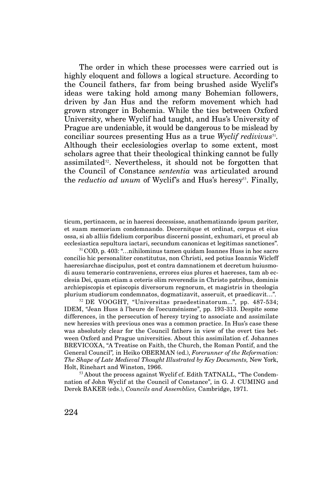The order in which these processes were carried out is highly eloquent and follows a logical structure. According to the Council fathers, far from being brushed aside Wyclif's ideas were taking hold among many Bohemian followers, driven by Jan Hus and the reform movement which had grown stronger in Bohemia. While the ties between Oxford University, where Wyclif had taught, and Hus's University of Prague are undeniable, it would be dangerous to be mislead by conciliar sources presenting Hus as a true *Wyclif redivivus*<sup>51</sup>. Although their ecclesiologies overlap to some extent, most scholars agree that their theological thinking cannot be fully assimilated $52$ . Nevertheless, it should not be forgotten that the Council of Constance *sententia* was articulated around the *reductio ad unum* of Wyclif's and Hus's heresy<sup>53</sup>. Finally,

ticum, pertinacem, ac in haeresi decessisse, anathematizando ipsum pariter, et suam memoriam condemnando. Decernitque et ordinat, corpus et eius ossa, si ab alliis fidelium corporibus discerni possint, exhumari, et procul ab ecclesiastica sepultura iactari, secundum canonicas et legitimas sanctiones".

<sup>51</sup>COD, p. 403: "…nihilominus tamen quidam Ioannes Huss in hoc sacro concilio hic personaliter constitutus, non Christi, sed potius Ioannis Wicleff haeresiarchae discipulus, post et contra damnationem et decretum huiusmodi ausu temerario contraveniens, errores eius plures et haereses, tam ab ecclesia Dei, quam etiam a ceteris olim reverendis in Christo patribus, dominis archiepiscopis et episcopis diversorum regnorum, et magistris in theologia plurium studiorum condemnatos, dogmatizavit, asseruit, et praedicavit…".

<sup>52</sup>DE VOOGHT, "Universitas praedestinatorum...", pp. 487-534; IDEM, "Jean Huss à l'heure de l'oecuménisme", pp. 193-313. Despite some differences, in the persecution of heresy trying to associate and assimilate new heresies with previous ones was a common practice. In Hus's case these was absolutely clear for the Council fathers in view of the overt ties between Oxford and Prague universities. About this assimilation cf. Johannes BREVICOXA, "A Treatise on Faith, the Church, the Roman Pontif, and the General Council"*,* in Heiko OBERMAN (ed.), *Forerunner of the Reformation: The Shape of Late Medieval Thought Illustrated by Key Documents,* New York, Holt, Rinehart and Winston, 1966.

<sup>53</sup> About the process against Wyclif cf. Edith TATNALL, "The Condemnation of John Wyclif at the Council of Constance", in G. J. CUMING and Derek BAKER (eds.), *Councils and Assemblies,* Cambridge, 1971.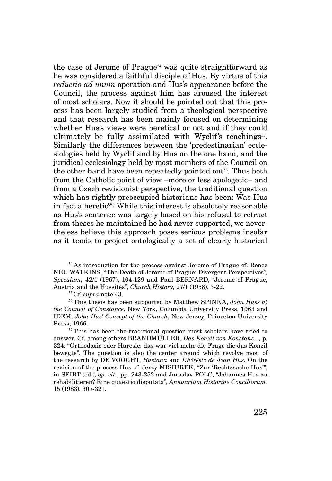the case of Jerome of Prague<sup>54</sup> was quite straightforward as he was considered a faithful disciple of Hus. By virtue of this *reductio ad unum* operation and Hus's appearance before the Council, the process against him has aroused the interest of most scholars. Now it should be pointed out that this process has been largely studied from a theological perspective and that research has been mainly focused on determining whether Hus's views were heretical or not and if they could ultimately be fully assimilated with Wyclif's teachings<sup>55</sup>. Similarly the differences between the 'predestinarian' ecclesiologies held by Wyclif and by Hus on the one hand, and the juridical ecclesiology held by most members of the Council on the other hand have been repeatedly pointed out<sup>56</sup>. Thus both from the Catholic point of view –more or less apologetic– and from a Czech revisionist perspective, the traditional question which has rightly preoccupied historians has been: Was Hus in fact a heretic?57 While this interest is absolutely reasonable as Hus's sentence was largely based on his refusal to retract from theses he maintained he had never supported, we nevertheless believe this approach poses serious problems insofar as it tends to project ontologically a set of clearly historical

<sup>54</sup>As introduction for the process against Jerome of Prague cf. Renee NEU WATKINS, "The Death of Jerome of Prague: Divergent Perspectives", *Speculum,* 42/1 (1967), 104-129 and Paul BERNARD, "Jerome of Prague, Austria and the Hussites", *Church History,* 27/1 (1958), 3-22.

<sup>55</sup>Cf. *supra* note 43.

<sup>56</sup>This thesis has been supported by Matthew SPINKA, *John Huss at the Council of Constance*, New York, Columbia University Press, 1963 and IDEM, *John Hus' Concept of the Church*, New Jersey, Princeton University Press, 1966.

 $57$ This has been the traditional question most scholars have tried to answer. Cf. among others BRANDMÜLLER, *Das Konzil von Konstanz...,* p. 324: "Orthodoxie oder Häresie: das war viel mehr die Frage die das Konzil bewegte". The question is also the center around which revolve most of the research by DE VOOGHT, *Husiana* and *L'hérésie de Jean Hus*. On the revision of the process Hus cf. Jerzy MISIUREK, "Zur 'Rechtssache Hus'", in SEIBT (ed.), *op. cit*., pp. 243-252 and Jaroslav POLC, "Johannes Hus zu rehabilitieren? Eine quaestio disputata", *Annuarium Historiae Conciliorum,*  15 (1983), 307-321.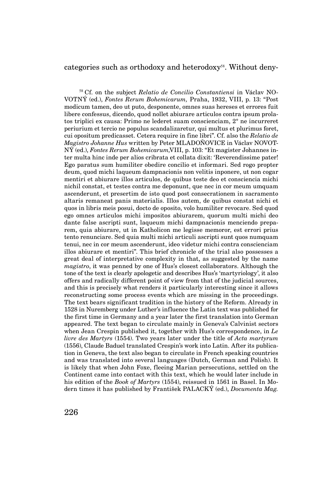#### categories such as orthodoxy and heterodoxy<sup>58</sup>. Without deny-

58 Cf. on the subject *Relatio de Concilio Constantiensi* in Václav NO-VOTNÝ (ed.), *Fontes Rerum Bohemicarum,* Praha, 1932, VIII, p. 13: "Post modicum tamen, deo ut puto, desponente, omnes suas hereses et errores fuit libere confessus, dicendo, quod nollet abiurare articulos contra ipsum prolatos triplici ex causa: Primo ne lederet suam conscienciam, 2° ne incurreret periurium et tercio ne populus scandalizaretur, qui multus et plurimus foret, cui opositum predicasset. Cetera require in fine libri". Cf. also the *Relatio de Magistro Johanne Hus* written by Peter MLADOŇOVICE in Václav NOVOT-NÝ (ed.), *Fontes Rerum Bohemicarum,*VIII, p. 103: "Et magister Johannes inter multa hinc inde per alios cribrata et collata dixit: 'Reverendissime pater! Ego paratus sum humiliter obedire concilio et informari. Sed rogo propter deum, quod michi laqueum dampnacionis non velitis inponere, ut non cogar mentiri et abiurare illos articulos, de quibus teste deo et consciencia michi nichil constat, et testes contra me deponunt, que nec in cor meum umquam ascenderunt, et presertim de isto quod post consecrationem in sacramento altaris remaneat panis materialis. Illos autem, de quibus constat nichi et quos in libris meis posui, docto de oposito, volo humiliter revocare. Sed quod ego omnes articulos michi impositos abiurarem, quorum multi michi deo dante false ascripti sunt, laqueum michi dampnacionis menciendo preparem, quia abiurare, ut in Katholicon me legisse memoror, est errori prius tento renunciare. Sed quia multi michi articuli ascripti sunt quos numquam tenui, nec in cor meum ascenderunt, ideo videtur michi contra conscienciam illos abiurare et mentiri". This brief chronicle of the trial also possesses a great deal of interpretative complexity in that, as suggested by the name *magistro*, it was penned by one of Hus's closest collaborators. Although the tone of the text is clearly apologetic and describes Hus's 'martyriology', it also offers and radically different point of view from that of the judicial sources, and this is precisely what renders it particularly interesting since it allows reconstructing some process events which are missing in the proceedings. The text bears significant tradition in the history of the Reform. Already in 1528 in Nuremberg under Luther's influence the Latin text was published for the first time in Germany and a year later the first translation into German appeared. The text began to circulate mainly in Geneva's Calvinist sectors when Jean Crespin published it, together with Hus's correspondence, in *Le livre des Martyrs* (1554). Two years later under the title of *Acta martyrum*  (1556), Claude Baduel translated Crespin's work into Latin. After its publication in Geneva, the text also began to circulate in French speaking countries and was translated into several languages (Dutch, German and Polish). It is likely that when John Foxe, fleeing Marian persecutions, settled on the Continent came into contact with this text, which he would later include in his edition of the *Book of Martyrs* (1554), reissued in 1561 in Basel. In Modern times it has published by František PALACKÝ (ed.), *Documenta Mag.*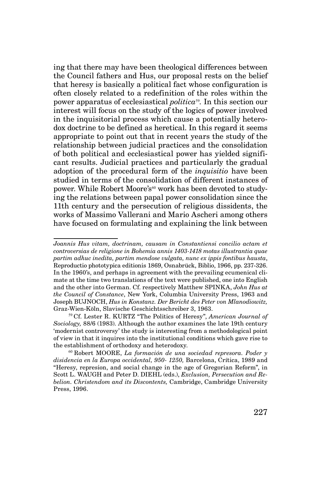ing that there may have been theological differences between the Council fathers and Hus, our proposal rests on the belief that heresy is basically a political fact whose configuration is often closely related to a redefinition of the roles within the power apparatus of ecclesiastical *politica*59*.* In this section our interest will focus on the study of the logics of power involved in the inquisitorial process which cause a potentially heterodox doctrine to be defined as heretical. In this regard it seems appropriate to point out that in recent years the study of the relationship between judicial practices and the consolidation of both political and ecclesiastical power has yielded significant results. Judicial practices and particularly the gradual adoption of the procedural form of the *inquisitio* have been studied in terms of the consolidation of different instances of power. While Robert Moore's<sup>60</sup> work has been devoted to studying the relations between papal power consolidation since the 11th century and the persecution of religious dissidents, the works of Massimo Vallerani and Mario Ascheri among others have focused on formulating and explaining the link between

*Joannis Hus vitam, doctrinam, causam in Constantiensi concilio actam et controversias de religione in Bohemia annis 1403-1418 motas illustrantia quae partim adhuc inedita, partim mendose vulgata, nunc ex ippis fontibus hausta*, Reproductio phototypica editionis 1869, Osnabrück, Biblio, 1966, pp. 237-326. In the 1960's, and perhaps in agreement with the prevailing ecumenical climate at the time two translations of the text were published, one into English and the other into German. Cf. respectively Matthew SPINKA, *John Hus at the Council of Constance*, New York, Columbia University Press, 1963 and Joseph BUJNOCH, *Hus in Konstanz. Der Bericht des Peter von Mlanodiowitz,*  Graz-Wien-Köln, Slavische Geschichtsschreiber 3, 1963.

<sup>59</sup>Cf. Lester R. KURTZ "The Politics of Heresy", *American Journal of Sociology,* 88/6 (1983). Although the author examines the late 19th century 'modernist controversy' the study is interesting from a methodological point of view in that it inquires into the institutional conditions which gave rise to the establishment of orthodoxy and heterodoxy.

<sup>60</sup>Robert MOORE, *La formación de una sociedad represora. Poder y disidencia en la Europa occidental, 950- 1250,* Barcelona, Crítica, 1989 and "Heresy, represion, and social change in the age of Gregorian Reform", in Scott L. WAUGH and Peter D. DIEHL (eds.), *Exclusion, Persecution and Rebelion. Christendom and its Discontents,* Cambridge, Cambridge University Press, 1996.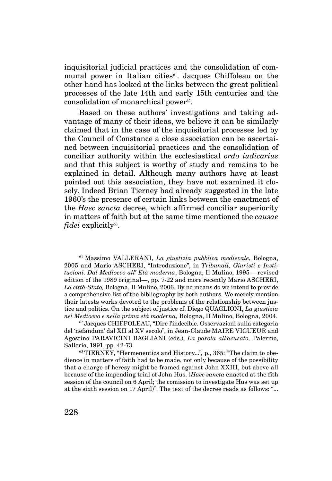inquisitorial judicial practices and the consolidation of communal power in Italian cities<sup>61</sup>. Jacques Chiffoleau on the other hand has looked at the links between the great political processes of the late 14th and early 15th centuries and the consolidation of monarchical power $62$ .

Based on these authors' investigations and taking advantage of many of their ideas, we believe it can be similarly claimed that in the case of the inquisitorial processes led by the Council of Constance a close association can be ascertained between inquisitorial practices and the consolidation of conciliar authority within the ecclesiastical *ordo iudicarius*  and that this subject is worthy of study and remains to be explained in detail. Although many authors have at least pointed out this association, they have not examined it closely. Indeed Brian Tierney had already suggested in the late 1960's the presence of certain links between the enactment of the *Haec sancta* decree, which affirmed conciliar superiority in matters of faith but at the same time mentioned the *causae fidei* explicitly<sup>63</sup>.

<sup>61</sup>Massimo VALLERANI, *La giustizia pubblica medievale*, Bologna, 2005 and Mario ASCHERI, "Introduzione", in *Tribunali, Giuristi e Instituzioni. Dal Medioevo all' Età moderna*, Bologna, Il Mulino, 1995 —revised edition of the 1989 original—, pp. 7-22 and more recently Mario ASCHERI, *La città-Stato,* Bologna, Il Mulino, 2006. By no means do we intend to provide a comprehensive list of the bibliography by both authors. We merely mention their latests works devoted to the problems of the relationship between justice and politics. On the subject of justice cf. Diego QUAGLIONI, *La giustizia nel Medioevo e nella prima età moderna,* Bologna, Il Mulino, Bologna, 2004.

 $62$  Jacques CHIFFOLEAU, "Dire l'indecible. Osservazioni sulla categoria del 'nefandum' dal XII al XV secolo", in Jean-Claude MAIRE VIGUEUR and Agostino PARAVICINI BAGLIANI (eds.), *La parola all'acusato,* Palermo, Sallerio, 1991, pp. 42-73.

63 TIERNEY, "Hermeneutics and History..."*,* p., 365: "The claim to obedience in matters of faith had to be made, not only because of the possibility that a charge of heresy might be framed against John XXIII, but above all because of the impending trial of John Hus. (*Haec sancta* enacted at the fith session of the council on 6 April; the comission to investigate Hus was set up at the sixth session on 17 April)". The text of the decree reads as follows: "...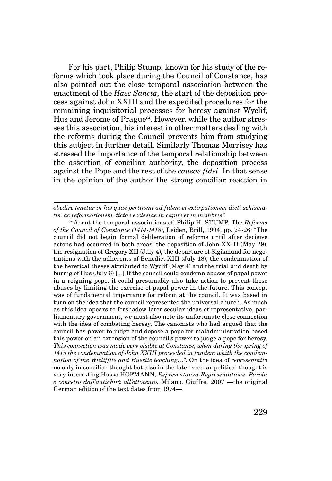For his part, Philip Stump, known for his study of the reforms which took place during the Council of Constance, has also pointed out the close temporal association between the enactment of the *Haec Sancta*, the start of the deposition process against John XXIII and the expedited procedures for the remaining inquisitorial processes for heresy against Wyclif, Hus and Jerome of Prague<sup>64</sup>. However, while the author stresses this association, his interest in other matters dealing with the reforms during the Council prevents him from studying this subject in further detail. Similarly Thomas Morrisey has stressed the importance of the temporal relationship between the assertion of conciliar authority, the deposition process against the Pope and the rest of the *causae fidei.* In that sense in the opinion of the author the strong conciliar reaction in

*obedire tenetur in his quae pertinent ad fidem et extirpationem dicti schismatis, ac reformationem dictae ecclesiae in capite et in membris".*

<sup>64</sup>About the temporal associations cf. Philip H. STUMP, The *Reforms of the Council of Constance (1414-1418)*, Leiden, Brill, 1994, pp. 24-26: "The council did not begin formal deliberation of reforms until after decisive actons had occurred in both areas: the deposition of John XXIII (May 29), the resignation of Gregory XII (July 4), the departure of Sigismund for negotiations with the adherents of Benedict XIII (July 18); the condemnation of the heretical theses attributed to Wyclif (May 4) and the trial and death by burnig of Hus (July 6) […] If the council could condemn abuses of papal power in a reigning pope, it could presumably also take action to prevent those abuses by limiting the exercise of papal power in the future. This concept was of fundamental importance for reform at the council. It was based in turn on the idea that the council represented the universal church. As much as this idea apears to forshadow later secular ideas of representative, parliamentary government, we must also note its unfortunate close connection with the idea of combating heresy. The canonists who had argued that the council has power to judge and depose a pope for maladministration based this power on an extension of the council's power to judge a pope for heresy. *This connection was made very visible at Constance, when during the spring of 1415 the condemnation of John XXIII proceeded in tandem whith the condemnation of the Wicliffite and Hussite teaching…*". On the idea of *representatio*  no only in conciliar thought but also in the later secular political thought is very interesting Hasso HOFMANN, *Representanza-Representatione. Parola e concetto dall'antichità all'ottocento,* Milano, Giuffrè, 2007 —the original German edition of the text dates from 1974—.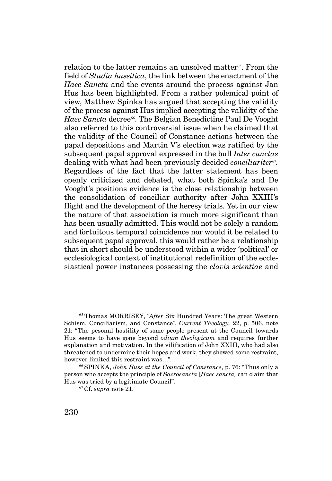relation to the latter remains an unsolved matter<sup>65</sup>. From the field of *Studia hussitica*, the link between the enactment of the *Haec Sancta* and the events around the process against Jan Hus has been highlighted. From a rather polemical point of view, Matthew Spinka has argued that accepting the validity of the process against Hus implied accepting the validity of the *Haec Sancta* decree<sup>66</sup>. The Belgian Benedictine Paul De Vooght also referred to this controversial issue when he claimed that the validity of the Council of Constance actions between the papal depositions and Martin V's election was ratified by the subsequent papal approval expressed in the bull *Inter cunctas*  dealing with what had been previously decided *conciliariter*67*.*  Regardless of the fact that the latter statement has been openly criticized and debated, what both Spinka's and De Vooght's positions evidence is the close relationship between the consolidation of conciliar authority after John XXIII's flight and the development of the heresy trials. Yet in our view the nature of that association is much more significant than has been usually admitted. This would not be solely a random and fortuitous temporal coincidence nor would it be related to subsequent papal approval, this would rather be a relationship that in short should be understood within a wider 'political' or ecclesiological context of institutional redefinition of the ecclesiastical power instances possessing the *clavis scientiae* and

<sup>65</sup>Thomas MORRISEY, "*After* Six Hundred Years: The great Western Schism, Conciliarism, and Constance", *Current Theology,* 22, p. 506, note 21: "The pesonal hostility of some people present at the Council towards Hus seems to have gone beyond *odium theologicum* and requires further explanation and motivation. In the vilification of John XXIII, who had also threatened to undermine their hopes and work, they showed some restraint, however limited this restraint was…".

<sup>66</sup>SPINKA, *John Huss at the Council of Constance*, p. 76: "Thus only a person who accepts the principle of *Sacrosancta* [*Haec sancta*] can claim that Hus was tried by a legitimate Council".

67 Cf. *supra* note 21.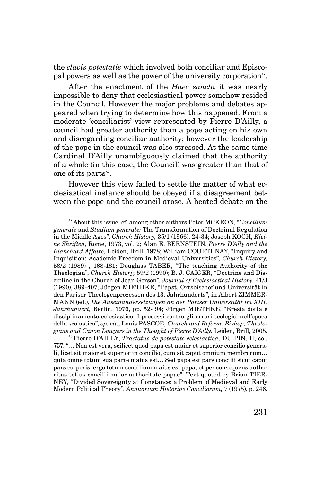the *clavis potestatis* which involved both conciliar and Episcopal powers as well as the power of the university corporation<sup>68</sup>.

After the enactment of the *Haec sancta* it was nearly impossible to deny that ecclesiastical power somehow resided in the Council. However the major problems and debates appeared when trying to determine how this happened. From a moderate 'conciliarist' view represented by Pierre D'Ailly, a council had greater authority than a pope acting on his own and disregarding conciliar authority; however the leadership of the pope in the council was also stressed. At the same time Cardinal D'Ailly unambiguously claimed that the authority of a whole (in this case, the Council) was greater than that of one of its parts<sup>69</sup>.

However this view failed to settle the matter of what ecclesiastical instance should be obeyed if a disagreement between the pope and the council arose. A heated debate on the

<sup>68</sup>About this issue, cf. among other authors Peter MCKEON, "*Concilium generale* and *Studium generale:* The Transformation of Doctrinal Regulation in the Middle Ages", *Church History,* 35/1 (1966), 24-34; Joseph KOCH, *Kleine Shriften,* Rome, 1973, vol. 2; Alan E. BERNSTEIN, *Pierre D'Ally and the Blanchard Affaire,* Leiden, Brill, 1978; William COURTENAY, "Inquiry and Inquisition: Academic Freedom in Medieval Universities", *Church History,*  58/2 (1989) , 168-181; Douglass TABER, "The teaching Authority of the Theologian", *Church History,* 59/2 (1990); B. J. CAIGER, "Doctrine and Discipline in the Church of Jean Gerson", *Journal of Ecclesiastical History,* 41/3 (1990), 389-407; Jürgen MIETHKE, "Papst, Ortsbischof und Universität in den Pariser Theologenprozessen des 13. Jahrhunderts", in Albert ZIMMER-MANN (ed.), *Die Auseinandersetzungen an der Pariser Universtität im XIII. Jahrhundert,* Berlin, 1976, pp. 52- 94; Jürgen MIETHKE, "Eresia dotta e disciplinamento eclesiastico. I processi contro gli errori teologici nell'epoca della scolastica", *op. cit.*; Louis PASCOE, *Church and Reform. Bishop, Theologians and Canon Lawyers in the Thought of Pierre D'Ailly,* Leiden, Brill, 2005.

<sup>69</sup>Pierre D'AILLY, *Tractatus de potestate eclesiastica,* DU PIN, II, col. 757: "… Non est vera, scilicet quod papa est maior et superior concilio generali, licet sit maior et superior in concilio, cum sit caput omnium membrorum… quia omne totum sua parte maius est… Sed papa est pars concilii sicut caput pars corporis: ergo totum concilium maius est papa, et per consequens authoritas totius concilii maior authoritate papae". Text quoted by Brian TIER-NEY, "Divided Sovereignty at Constance: a Problem of Medieval and Early Modern Political Theory", *Annuarium Historiae Conciliorum,* 7 (1975), p. 246.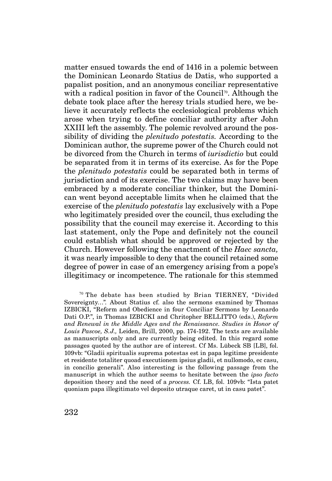matter ensued towards the end of 1416 in a polemic between the Dominican Leonardo Statius de Datis, who supported a papalist position, and an anonymous conciliar representative with a radical position in favor of the Council<sup>70</sup>. Although the debate took place after the heresy trials studied here, we believe it accurately reflects the ecclesiological problems which arose when trying to define conciliar authority after John XXIII left the assembly. The polemic revolved around the possibility of dividing the *plenitudo potestatis.* According to the Dominican author, the supreme power of the Church could not be divorced from the Church in terms of *iurisdictio* but could be separated from it in terms of its exercise. As for the Pope the *plenitudo potestatis* could be separated both in terms of jurisdiction and of its exercise. The two claims may have been embraced by a moderate conciliar thinker, but the Dominican went beyond acceptable limits when he claimed that the exercise of the *plenitudo potestatis* lay exclusively with a Pope who legitimately presided over the council, thus excluding the possibility that the council may exercise it. According to this last statement, only the Pope and definitely not the council could establish what should be approved or rejected by the Church. However following the enactment of the *Haec sancta,*  it was nearly impossible to deny that the council retained some degree of power in case of an emergency arising from a pope's illegitimacy or incompetence. The rationale for this stemmed

 $70$  The debate has been studied by Brian TIERNEY, "Divided Sovereignty…"*.* About Statius cf. also the sermons examined by Thomas IZBICKI, "Reform and Obedience in four Conciliar Sermons by Leonardo Dati O.P.", in Thomas IZBICKI and Chritopher BELLITTO (eds.), *Reform and Renewal in the Middle Ages and the Renaissance. Studies in Honor of Louis Pascoe, S.J.,* Leiden, Brill, 2000, pp. 174-192. The texts are available as manuscripts only and are currently being edited. In this regard some passages quoted by the author are of interest. Cf Ms. Lübeck SB [LB], fol. 109vb: "Gladii spiritualis suprema potestas est in papa legitime presidente et residente totaliter quoad executionem ipsius gladii, et nullomodo, ec casu, in concilio generali". Also interesting is the following passage from the manuscript in which the author seems to hesitate between the *ipso facto*  deposition theory and the need of a *process.* Cf. LB, fol. 109vb: "Ista patet quoniam papa illegitimato vel deposito utraque caret, ut in casu patet".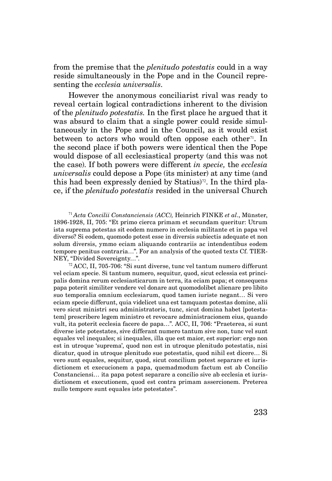from the premise that the *plenitudo potestatis* could in a way reside simultaneously in the Pope and in the Council representing the *ecclesia universalis*.

However the anonymous conciliarist rival was ready to reveal certain logical contradictions inherent to the division of the *plenitudo potestatis.* In the first place he argued that it was absurd to claim that a single power could reside simultaneously in the Pope and in the Council, as it would exist between to actors who would often oppose each other<sup>71</sup>. In the second place if both powers were identical then the Pope would dispose of all ecclesiastical property (and this was not the case). If both powers were different *in specie,* the *ecclesia universalis* could depose a Pope (its minister) at any time (and this had been expressly denied by Statius)<sup>72</sup>. In the third place, if the *plenitudo potestatis* resided in the universal Church

<sup>71</sup>*Acta Concilii Constanciensis (ACC),* Heinrich FINKE *et al*., Münster, 1896-1928, II, 705: "Et primo cierca primam et secundam queritur: Utrum ista suprema potestas sit eodem numero in ecclesia militante et in papa vel diverso? Si eodem, quomodo potest esse in diversis subiectis adequate et non solum diversis, ymmo eciam aliquando contrariis ac intendentibus eodem tempore penitus contraria…". For an analysis of the quoted texts Cf. TIER-NEY, "Divided Sovereignty…".

<sup>72</sup>ACC, II, 705-706: "Si sunt diverse, tunc vel tantum numero differunt vel eciam specie. Si tantum numero, sequitur, quod, sicut eclessia est principalis domina rerum ecclesiasticarum in terra, ita eciam papa; et consequens papa poterit similiter vendere vel donare aut quomodolibet alienare pro libito suo temporalia omnium ecclesiarum, quod tamen iuriste negant… Si vero eciam specie differunt, quia videlicet una est tamquam potestas domine, alii vero sicut ministri seu administratoris, tunc, sicut domina habet [potestatem] prescribere legem ministro et revocare administracionem eius, quando vult, ita poterit ecclesia facere de papa…". ACC, II, 706: "Praeterea, si sunt diverse iste potestates, sive differant numero tantum sive non, tunc vel sunt equales vel inequales; si inequales, illa que est maior, est superior: ergo non est in utroque 'suprema', quod non est in utroque plenitudo potestatis, nisi dicatur, quod in utroque plenitudo sue potestatis, quod nihil est dicere… Si vero sunt equales, sequitur, quod, sicut concilium potest separare et iurisdictionem et execucionem a papa, quemadmodum factum est ab Concilio Constanciensi… ita papa potest separare a concilio sive ab ecclesia et iurisdictionem et executionem, quod est contra primam assercionem. Preterea nullo tempore sunt equales iste potestates".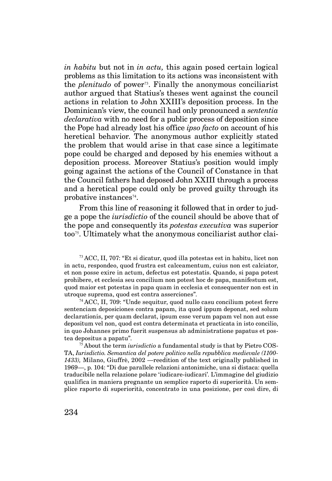*in habitu* but not in *in actu,* this again posed certain logical problems as this limitation to its actions was inconsistent with the *plenitudo* of power73. Finally the anonymous conciliarist author argued that Statius's theses went against the council actions in relation to John XXIII's deposition process. In the Dominican's view, the council had only pronounced a *sententia declarativa* with no need for a public process of deposition since the Pope had already lost his office *ipso facto* on account of his heretical behavior. The anonymous author explicitly stated the problem that would arise in that case since a legitimate pope could be charged and deposed by his enemies without a deposition process. Moreover Statius's position would imply going against the actions of the Council of Constance in that the Council fathers had deposed John XXIII through a process and a heretical pope could only be proved guilty through its probative instances $74$ .

From this line of reasoning it followed that in order to judge a pope the *iurisdictio* of the council should be above that of the pope and consequently its *potestas executiva* was superior too75. Ultimately what the anonymous conciliarist author clai-

<sup>73</sup>ACC, II, 707: "Et si dicatur, quod illa potestas est in habitu, licet non in actu, respondeo, quod frustra est calceamentum, cuius non est calciator, et non posse exire in actum, defectus est potestatis. Quando, si papa potest prohibere, et ecclesia seu concilium non potest hoc de papa, manifestum est, quod maior est potestas in papa quam in ecclesia et consequenter non est in utroque suprema, quod est contra asserciones".

<sup>74</sup>ACC, II, 709: "Unde sequitur, quod nullo casu concilium potest ferre sentenciam deposiciones contra papam, ita quod ippum deponat, sed solum declarationis, per quam declarat, ipsum esse verum papam vel non aut esse depositum vel non, quod est contra determinata et practicata in isto concilio, in quo Johannes primo fuerit suspensus ab administratione papatus et postea depositus a papatu".

75 About the term *iurisdictio* a fundamental study is that by Pietro COS-TA, *Iurisdictio. Semantica del potere politico nella repubblica medievale (1100- 1433),* Milano, Giuffrè, 2002 —reedition of the text originally published in 1969—, p. 104: "Di due parallele relazioni antonimiche, una si distaca: quella traducibile nella relazione polare 'iudicare-iudicari'. L'immagine del giudizio qualifica in maniera pregnante un semplice raporto di superiorità. Un semplice raporto di superiorità, concentrato in una posizione, per così dire, di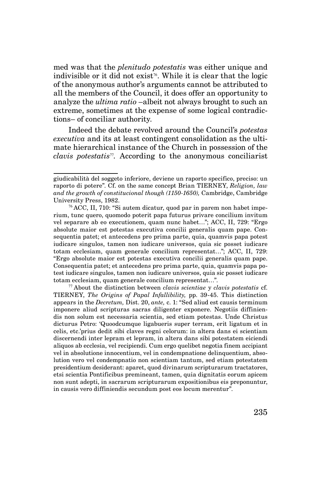med was that the *plenitudo potestatis* was either unique and indivisible or it did not exist<sup>76</sup>. While it is clear that the logic of the anonymous author's arguments cannot be attributed to all the members of the Council, it does offer an opportunity to analyze the *ultima ratio* –albeit not always brought to such an extreme, sometimes at the expense of some logical contradictions– of conciliar authority.

Indeed the debate revolved around the Council's *potestas executiva* and its at least contingent consolidation as the ultimate hierarchical instance of the Church in possession of the *clavis potestatis*77*.* According to the anonymous conciliarist

giudicabilità del soggeto inferiore, deviene un raporto specifico, preciso: un raporto di potere". Cf. on the same concept Brian TIERNEY, *Religion, law and the growth of constitucional though (1150-1650),* Cambridge, Cambridge University Press, 1982.

<sup>76</sup> ACC, II, 710: "Si autem dicatur, quod par in parem non habet imperium, tunc quero, quomodo poterit papa futurus privare concilium invitum vel separare ab eo executionem, quam nunc habet…"; ACC, II, 729: "Ergo absolute maior est potestas executiva concilii generalis quam pape. Consequentia patet; et antecedens pro prima parte, quia, quamvis papa potest iudicare singulos, tamen non iudicare universos, quia sic posset iudicare totam ecclesiam, quam generale concilium representat…"; ACC, II, 729: "Ergo absolute maior est potestas executiva concilii generalis quam pape. Consequentia patet; et antecedens pro prima parte, quia, quamvis papa potest iudicare singulos, tamen non iudicare universos, quia sic posset iudicare totam ecclesiam, quam generale concilium representat…".

<sup>77</sup>About the distinction between *clavis scientiae* y *clavis potestatis* cf. TIERNEY, *The Origins of Papal Infallibility,* pp. 39-45. This distinction appears in the *Decretum,* Dist. 20, *ante,* c. 1: "Sed aliud est causis terminum imponere aliud scripturas sacras diligenter exponere. Negotiis diffiniendis non solum est necessaria scientia, sed etiam potestas. Unde Christus dicturus Petro: 'Quoodcumque ligabueris super terram, erit ligatum et in celis, etc.'prius dedit sibi claves regni celorum: in altera dans ei scientiam discernendi inter lepram et lepram, in altera dans sibi potestatem eiciendi aliquos ab ecclesia, vel recipiendi. Cum ergo quelibet negotia finem accipiant vel in absolutione innocentium, vel in condempnatione delinquentium, absolution vero vel condempnatio non scientiam tantum, sed etiam potestatem presidentium desiderant: aparet, quod divinarum scripturarum tractatores, etsi scientia Pontificibus premineant, tamen, quia dignitatis eorum apicem non sunt adepti, in sacrarum scripturarum expositionibus eis preponuntur, in causis vero diffiniendis secundum post eos locum merentur".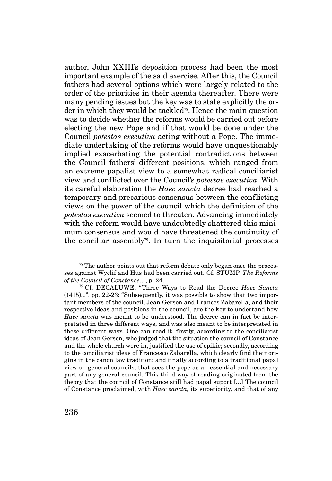author, John XXIII's deposition process had been the most important example of the said exercise. After this, the Council fathers had several options which were largely related to the order of the priorities in their agenda thereafter. There were many pending issues but the key was to state explicitly the order in which they would be tackled<sup>78</sup>. Hence the main question was to decide whether the reforms would be carried out before electing the new Pope and if that would be done under the Council *potestas executiva* acting without a Pope. The immediate undertaking of the reforms would have unquestionably implied exacerbating the potential contradictions between the Council fathers' different positions, which ranged from an extreme papalist view to a somewhat radical conciliarist view and conflicted over the Council's *potestas executiva*. With its careful elaboration the *Haec sancta* decree had reached a temporary and precarious consensus between the conflicting views on the power of the council which the definition of the *potestas executiva* seemed to threaten. Advancing immediately with the reform would have undoubtedly shattered this minimum consensus and would have threatened the continuity of the conciliar assembly<sup>79</sup>. In turn the inquisitorial processes

 $78$  The author points out that reform debate only began once the processes against Wyclif and Hus had been carried out. Cf. STUMP, *The Reforms of the Council of Constance…*, p. 24.

<sup>79</sup>Cf. DECALUWE, "Three Ways to Read the Decree *Haec Sancta*  (1415)..."*,* pp. 22-23: "Subsequently, it was possible to show that two important members of the council, Jean Gerson and Frances Zabarella, and their respective ideas and positions in the council, are the key to undertand how *Haec sancta* was meant to be understood. The decree can in fact be interpretated in three different ways, and was also meant to be interpretated in these different ways. One can read it, firstly, according to the conciliarist ideas of Jean Gerson, who judged that the situation the council of Constance and the whole church were in, justified the use of epikie; secondly, according to the conciliarist ideas of Francesco Zabarella, which clearly find their origins in the canon law tradition; and finally according to a traditional papal view on general councils, that sees the pope as an essential and necessary part of any general council. This third way of reading originated from the theory that the council of Constance still had papal suport […] The council of Constance proclaimed, with *Haec sancta,* its superiority, and that of any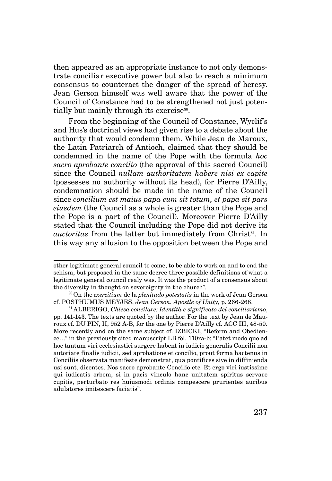then appeared as an appropriate instance to not only demonstrate conciliar executive power but also to reach a minimum consensus to counteract the danger of the spread of heresy. Jean Gerson himself was well aware that the power of the Council of Constance had to be strengthened not just potentially but mainly through its exercise<sup>80</sup>.

From the beginning of the Council of Constance, Wyclif's and Hus's doctrinal views had given rise to a debate about the authority that would condemn them. While Jean de Maroux, the Latin Patriarch of Antioch, claimed that they should be condemned in the name of the Pope with the formula *hoc sacro aprobante concilio* (the approval of this sacred Council) since the Council *nullam authoritatem habere nisi ex capite*  (possesses no authority without its head), for Pierre D'Ailly, condemnation should be made in the name of the Council since *concilium est maius papa cum sit totum, et papa sit pars eiusdem* (the Council as a whole is greater than the Pope and the Pope is a part of the Council)*.* Moreover Pierre D'Ailly stated that the Council including the Pope did not derive its *auctoritas* from the latter but immediately from Christ<sup>81</sup>. In this way any allusion to the opposition between the Pope and

other legitimate general council to come, to be able to work on and to end the schism, but proposed in the same decree three possible definitions of what a legitimate general council realy was. It was the product of a consensus about the diversity in thought on sovereignty in the church".

<sup>80</sup>On the *exercitium* de la *plenitudo potestatis* in the work of Jean Gerson cf. POSTHUMUS MEYJES, *Jean Gerson. Apostle of Unity,* p. 266-268.

<sup>81</sup>ALBERIGO, *Chiesa concilare: Identità e significato del conciliarismo*, pp. 141-143. The texts are quoted by the author. For the text by Jean de Mauroux cf. DU PIN, II, 952 A-B, for the one by Pierre D'Ailly cf. ACC III, 48-50. More recently and on the same subject cf. IZBICKI, "Reform and Obedience…" in the previously cited manuscript LB fol. 110ra-b: "Patet modo quo ad hoc tantum viri ecclesiastici surgere habent in iudicio generalis Concilii non autoriate finalis iudicii, sed aprobatione et concilio, prout forma hactenus in Conciliis observata manifeste demonstrat, qua pontifices sive in diffinienda usi sunt, dicentes. Nos sacro aprobante Concilio etc. Et ergo viri iustissime qui iudicatis orbem, si in pacis vinculo hanc unitatem spiritus servare cupitis, perturbato res huiusmodi ordinis compescere prurientes auribus adulatores imitescere faciatis".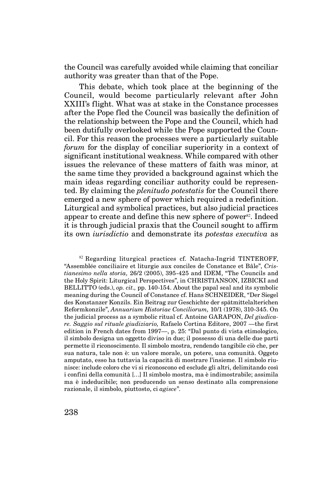the Council was carefully avoided while claiming that conciliar authority was greater than that of the Pope.

This debate, which took place at the beginning of the Council, would become particularly relevant after John XXIII's flight. What was at stake in the Constance processes after the Pope fled the Council was basically the definition of the relationship between the Pope and the Council, which had been dutifully overlooked while the Pope supported the Council. For this reason the processes were a particularly suitable *forum* for the display of conciliar superiority in a context of significant institutional weakness. While compared with other issues the relevance of these matters of faith was minor, at the same time they provided a background against which the main ideas regarding conciliar authority could be represented. By claiming the *plenitudo potestatis* for the Council there emerged a new sphere of power which required a redefinition. Liturgical and symbolical practices, but also judicial practices appear to create and define this new sphere of power<sup>82</sup>. Indeed it is through judicial praxis that the Council sought to affirm its own *iurisdictio* and demonstrate its *potestas executiva* as

82 Regarding liturgical practices cf. Natacha-Ingrid TINTEROFF, "Assemblée conciliaire et liturgie aux conciles de Constance et Bâle", *Cristianesimo nella storia,* 26/2 (2005), 395-425 and IDEM, "The Councils and the Holy Spirit: Liturgical Perspectives", in CHRISTIANSON, IZBICKI and BELLITTO (eds.), *op. cit.,* pp. 140-154. About the papal seal and its symbolic meaning during the Council of Constance cf. Hans SCHNEIDER, "Der Siegel des Konstanzer Konzils. Ein Beitrag zur Geschichte der spätmittelalterichen Reformkonzile", *Annuarium Historiae Conciliorum,* 10/1 (1978), 310-345. On the judicial process as a symbolic ritual cf. Antoine GARAPON, *Del giudicare. Saggio sul rituale giudiziario,* Rafaelo Cortina Editore, 2007 —the first edition in French dates from 1997—, p. 25: "Dal punto di vista etimologico, il simbolo designa un oggetto diviso in due; il possesso di una delle due parti permette il riconoscimento. Il simbolo mostra, rendendo tangibile ciò che, per sua natura, tale non è: un valore morale, un potere, una comunità. Oggeto amputato, esso ha tuttavia la capacità di mostrare l'insieme. Il simbolo riunisce: include coloro che vi si riconoscono ed esclude gli altri, delimitando così i confini della comunità […] Il simbolo mostra, ma è indimostrabile; assimila ma è indeducibile; non producendo un senso destinato alla comprensione razionale, il simbolo, piuttosto, ci *agisce*".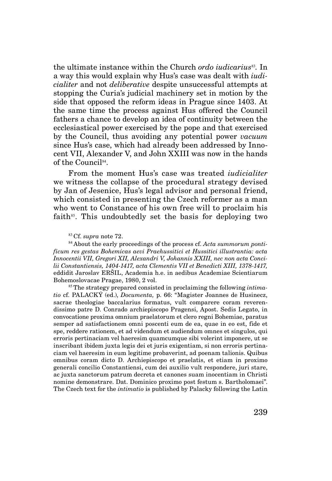the ultimate instance within the Church *ordo iudicarius*83*.* In a way this would explain why Hus's case was dealt with *iudicialiter* and not *deliberative* despite unsuccessful attempts at stopping the Curia's judicial machinery set in motion by the side that opposed the reform ideas in Prague since 1403. At the same time the process against Hus offered the Council fathers a chance to develop an idea of continuity between the ecclesiastical power exercised by the pope and that exercised by the Council, thus avoiding any potential power *vacuum*  since Hus's case, which had already been addressed by Innocent VII, Alexander V, and John XXIII was now in the hands of the Council<sup>84</sup>.

From the moment Hus's case was treated *iudicialiter*  we witness the collapse of the procedural strategy devised by Jan of Jesenice, Hus's legal advisor and personal friend, which consisted in presenting the Czech reformer as a man who went to Constance of his own free will to proclaim his faith $85$ . This undoubtedly set the basis for deploying two

83 Cf. *supra* note 72.

84 About the early proceedings of the process cf. *Acta summorum pontificum res gestas Bohemicas aevi Praehussitici et Hussitici illustrantia: acta Innocentii VII, Gregori XII, Alexandri V, Johannis XXIII, nec non acta Concilii Constantiensis, 1404-1417, acta Clementis VII et Benedicti XIII, 1378-1417,*  eddidit Jaroslav ERŠIL, Academia h.e. in aedibus Academiae Scientiarum Bohemoslovacae Pragae, 1980, 2 vol.

85 The strategy prepared consisted in proclaiming the following *intimatio* cf. PALACKÝ (ed.), *Documenta,* p. 66: "Magister Joannes de Husinecz, sacrae theologiae baccalarius formatus, vult comparere coram reverendissimo patre D. Conrado archiepiscopo Pragensi, Apost. Sedis Legato, in convocatione proxima omnium praelatorum et clero regni Bohemiae, paratus semper ad satisfactionem omni poscenti eum de ea, quae in eo est, fide et spe, reddere rationem, et ad videndum et audiendum omnes et singulos, qui erroris pertinaciam vel haeresim quamcumque sibi volerint imponere, ut se inscribant ibidem juxta legis dei et juris exigentiam, si non erroris pertinaciam vel haeresim in eum legitime probaverint, ad poenam talionis. Quibus omnibus coram dicto D. Archiepiscopo et praelatis, et etiam in proximo generali concilio Constantiensi, cum dei auxilio vult respondere, juri stare, ac juxta sanctorum patrum decreta et canones suam inocentiam in Christi nomine demonstrare. Dat. Dominico proximo post festum s. Bartholomaei". The Czech text for the *intimatio* is published by Palacky following the Latin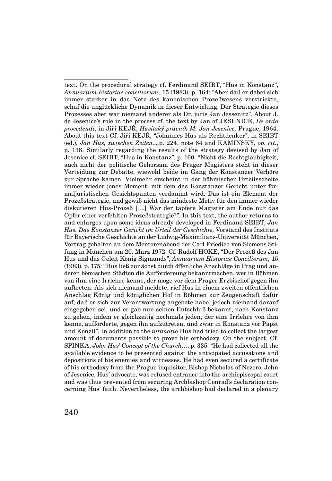text. On the procedural strategy cf. Ferdinand SEIBT, "Hus in Konstanz", *Annuarium historiae conciliorum,* 15 (1983), p. 164: "Aber daß er dabei sich immer starker in das Netz des kanonischen Prozeßwesens verstrickte, schuf die unglückliche Dynamik in dieser Entwiclung. Der Strategie dieses Prozesses aber war niemand anderer als Dr. juris Jan Jessenitz". About J. de Jesenice's role in the process cf. the text by Jan of JESENICE, *De ordo procedendi*, in Jiři KEJŘ, *Husitský právník M. Jan Jesenice,* Prague, 1964. About this text Cf. Jiři KEJŘ, "Johannes Hus als Rechtdenker", in SEIBT (ed.), *Jan Hus, zwischen Zeiten...,*p. 224, note 64 and KAMINSKY, *op. cit.*, p. 138. Similarly regarding the results of the strategy devised by Jan of Jesenice cf. SEIBT, "Hus in Konstanz", p. 160: "Nicht die Rechtgläubigkeit, auch nicht der politische Gehorsam des Prager Magisters steht in dieser Verteidung zur Debatte, wiewohl beide im Gang der Konstanzer Verhöre zur Sprache kamen. Vielmehr erscheint in der böhmischer Urteilsschelte immer wieder jenes Moment, mit dem das Konstanzer Gericht unter formaljuristischen Gesichtspunten verdammt wird. Das ist ein Element der Prozeßstrategie, und gewiß nicht das mindeste Motiv für den immer wieder diskutieren Hus-Prozeß [….] War der tapfere Magister am Ende nur das Opfer einer verfehlten Prozeßstrategie?". In this text, the author returns to and enlarges upon some ideas already developed in Ferdinand SEIBT, *Jan Hus. Das Konstanzer Gericht im Urteil der Geschichte,* Vorstand des Instituts für Bayerische Geschichte an der Ludwig-Maximilians-Universität München, Vortrag gehalten an dem Mentorenabend der Carl Friedich von Siemens Stifung in München am 20. März 1972. Cf. Rudolf HOKE, "Der Prozeß des Jan Hus und das Geleit König Sigmunds", *Annuarium Historiae Conciliorum,* 15 (1983), p. 175: "Hus ließ zunächst durch öffenliche Anschläge in Prag und anderen bömischen Städten die Auffordereung bekanntmachen, wer in Böhmen von ihm eine Irrlehre kenne, der möge vor dem Prager Erzbischof gegen ihn auftreten. Als sich niemand meldete, rief Hus in einem zweiten öffentlichen Anschlag König und königlichen Hof in Böhmen zur Zeugenschaft dafür auf, daß er sich zur Verantwortung angebote habe, jedoch niemand darauf eingegeben sei, und er gab nun seinen Entschluß bekannt, nach Konstanz zu gehen, indem er gleichzeitig nochmals jeden, der eine Irrlehre von ihm kenne, aufforderte, gegen ihn aufzutreten, und zwar in Konstanz vor Papst und Konzil". In addition to the *intimatio* Hus had tried to collect the largest amount of documents possible to prove his orthodoxy. On the subject, Cf. SPINKA, *John Hus' Concept of the Church…*, p. 335: "He had collected all the available evidence to be presented against the anticipated accusations and depositions of his enemies and witnesses. He had even secured a certificate of his orthodoxy from the Prague inquisitor, Bishop Nicholas of Nezero. John of Jesenice, Hus' advocate, was refused entrance into the archiepiscopal court and was thus prevented from securing Archbishop Conrad's declaration concerning Hus' faith. Nevertheless, the archbishop had declared in a plenary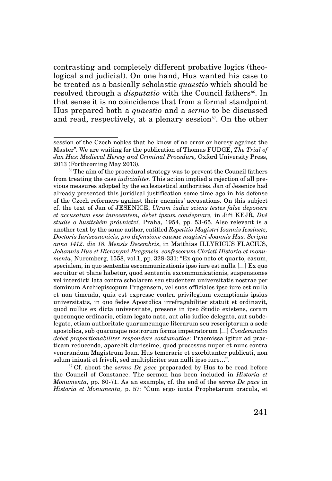contrasting and completely different probative logics (theological and judicial). On one hand, Hus wanted his case to be treated as a basically scholastic *quaestio* which should be resolved through a *disputatio* with the Council fathers<sup>86</sup>. In that sense it is no coincidence that from a formal standpoint Hus prepared both a *quaestio* and a *sermo* to be discussed and read, respectively, at a plenary session $\mathbf{S}^7$ . On the other

<sup>87</sup>Cf. about the *sermo De pace* preparaded by Hus to be read before the Council of Constance. The sermon has been included in *Historia et Monumenta,* pp. 60-71. As an example, cf. the end of the *sermo De pace* in *Historia et Monumenta,* p. 57: "Cum ergo iuxta Prophetarum oracula, et

session of the Czech nobles that he knew of no error or heresy against the Master". We are waiting for the publication of Thomas FUDGE, *The Trial of Jan Hus: Medieval Heresy and Criminal Procedure,* Oxford University Press, 2013 (Forthcoming May 2013).

<sup>&</sup>lt;sup>86</sup>The aim of the procedural strategy was to prevent the Council fathers from treating the case *iudicialiter*. This action implied a rejection of all previous measures adopted by the ecclesiastical authorities. Jan of Jesenice had already presented this juridical justification some time ago in his defense of the Czech reformers against their enemies' accusations. On this subject cf. the text of Jan of JESENICE, *Utrum iudex sciens testes false deponere et accusatum esse innocentem, debet ipsum condepnare,* in Jiři KEJŘ, *Dvě studie o husitském právnictví,* Praha, 1954, pp. 53-65. Also relevant is a another text by the same author, entitled *Repetitio Magistri Ioannis Iessinetz, Doctoris Iuriscanonicis, pro defensione causae magistri Joannis Hus. Scripta anno 1412. die 18. Mensis Decembris*, in Matthias ILLYRICUS FLACIUS, *Johannis Hus et Hieronymi Pragensis, confessorum Christi Historia et monumenta*, Nuremberg, 1558, vol.1, pp. 328-331: "Ex quo noto et quarto, casum, specialem, in quo sententia escommunicationis ipso iure est nulla […] Ex quo sequitur et plane habetur, quod sententia excommunicationis, suspensiones vel interdicti lata contra scholarem seu studentem universitatis nostrae per dominum Archiepiscopum Pragensem, vel suos officiales ipso iure est nulla et non timenda, quia est expresse contra privilegium exemptionis ipsius universitatis, in quo fedes Apostolica irrefragabiliter statuit et ordinavit, quod nullus ex dicta universitate, presens in ipso Studio existens, coram quocunque ordinario, etiam legato nato, aut alio iudice delegato, aut subdelegato, etiam authoritate quarumcunque literarum seu rescriptorum a sede apostolica, sub quacunque nostrorum forma impetratorum […] *Condemnatio debet proportionabiliter respondere contumatiae*: Praemissa igitur ad practicam reducendo, aparebit clarissime, quod processus nuper et nunc contra venerandum Magistrum Ioan. Hus temerarie et exorbitanter publicati, non solum iniusti et frivoli, sed multipliciter sun nulli ipso iure…".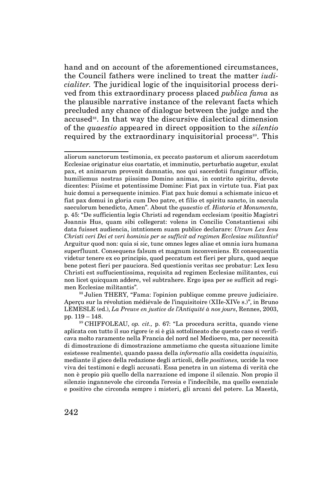hand and on account of the aforementioned circumstances, the Council fathers were inclined to treat the matter *iudicialiter.* The juridical logic of the inquisitorial process derived from this extraordinary process placed *publica fama* as the plausible narrative instance of the relevant facts which precluded any chance of dialogue between the judge and the accused<sup>88</sup>. In that way the discursive dialectical dimension of the *quaestio* appeared in direct opposition to the *silentio*  required by the extraordinary inquisitorial process<sup>89</sup>. This

<sup>88</sup>Julien THERY, "Fama: l'opinion publique comme preuve judiciaire. Aperçu sur la révolution médiévale de l'inquisitoire (XIIe-XIVe s.)", in Bruno LEMESLE (ed.), *La Preuve en justice de l'Antiquité à nos jours*, Rennes, 2003, pp. 119 – 148.

<sup>89</sup>CHIFFOLEAU, *op. cit.,* p. 67: "La procedura scritta, quando viene aplicata con tutto il suo rigore (e si è già sottolineato che questo caso si verificava molto raramente nella Francia del nord nel Medioevo, ma, per necessità di dimostrazione di dimostrazione ammetiamo che questa situazione limite esistesse realmente), quando passa della *informatio* alla cosidetta *inquisitio,*  mediante il gioco della redazione degli articoli, delle *positiones,* uccide la voce viva dei testimoni e degli accusati. Essa penetra in un sistema di verità che non è propio più quello della narrazione ed impone il silenzio. Non propio il silenzio ingannevole che circonda l'eresia e l'indecibile, ma quello esenziale e positivo che circonda sempre i misteri, gli arcani del potere. La Maestà,

aliorum sanctorum testimonia, ex peccato pastorum et aliorum sacerdotum Ecclesiae originatur eius coartatio, et imminutio, perturbatio augetur, exulat pax, et animarum provenit damnatio, nos qui sacerdotii fungimur officio, humiliemus nostras piissimo Domino animas, in contrito spiritu, devote dicentes: Piisime et potentissime Domine: Fiat pax in virtute tua. Fiat pax huic domui a persequente inimico. Fiat pax huic domui a schismate inicuo et fiat pax domui in gloria cum Deo patre, et filio et spiritu sancto, in saecula saeculorum benedicto, Amen". About the *quaestio* cf. *Historia et Monumenta,*  p. 45: "De sufficientia legis Christi ad regendam ecclesiam (positio Magistri Joannis Hus, quam sibi collegerat: volens in Concilio Constantiensi sibi data fuisset audiencia, intntionem suam publice declarare: *Utrum Lex Iesu Christi veri Dei et veri hominis per se sufficit ad regimen Ecclesiae militantis?*  Arguitur quod non: quia si sic, tunc omnes leges aliae et omnia iura humana superfluunt. Consequens falsum et magnum inconveniens. Et consequentia videtur tenere ex eo principio, quod peccatum est fieri per plura, quod aeque bene potest fieri per pauciora. Sed questionis veritas sec probatur: Lex Iesu Christi est suffucientissima, requisita ad regimen Ecclesiae militantes, cui non licet quicquam addere, vel subtrahere. Ergo ipsa per se sufficit ad regimen Ecclesiae militantis".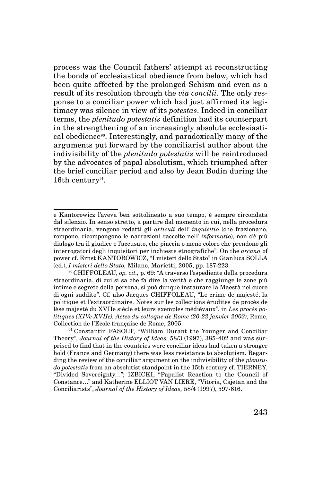process was the Council fathers' attempt at reconstructing the bonds of ecclesiastical obedience from below, which had been quite affected by the prolonged Schism and even as a result of its resolution through the *via concilii*. The only response to a conciliar power which had just affirmed its legitimacy was silence in view of its *potestas*. Indeed in conciliar terms, the *plenitudo potestatis* definition had its counterpart in the strengthening of an increasingly absolute ecclesiastical obedience90. Interestingly, and paradoxically many of the arguments put forward by the conciliarist author about the indivisibility of the *plenitudo potestatis* will be reintroduced by the advocates of papal absolutism, which triumphed after the brief conciliar period and also by Jean Bodin during the 16th century<sup>91</sup>.

e Kantorowicz l'aveva ben sottolineato a suo tempo, è sempre circondata dal silenzio. In senso stretto, a partire dal momento in cui, nella procedura straordinaria, vengono redatti gli *articuli* dell' *inquisitio* (che frazionano, rompono, ricompongono le narrazioni raccolte nell' *informatio*), non c'è più dialogo tra il giudice e l'accusato, che piaccia o meno coloro che prendono gli interrogatori degli inquisitori per inchieste etnografiche". On the *arcana* of power cf. Ernst KANTOROWICZ, "I misteri dello Stato" in Gianluca SOLLA (ed.), *I misteri dello Stato,* Milano, Marietti, 2005, pp. 187-223.

<sup>90</sup>CHIFFOLEAU, *op. cit.,* p. 69: "A traverso l'espediente della procedura straordinaria, di cui si sa che fa dire la verità e che raggiunge le zone più intime e segrete della persona, si può dunque instaurare la Maestà nel cuore di ogni suddito". Cf. also Jacques CHIFFOLEAU, "Le crime de majesté, la politique et l'extraordinaire. Notes sur les collections érudites de procès de lèse majesté du XVIIe siècle et leurs exemples médiévaux", in *Les procès politiques (XIVe-XVIIe). Actes du colloque de Rome (20-22 janvier 2003)*, Rome, Collection de l'Ecole française de Rome, 2005.

<sup>&</sup>lt;sup>91</sup> Constantin FASOLT, "William Durant the Younger and Conciliar Theory", *Journal of the History of Ideas,* 58/3 (1997), 385-402 and was surprised to find that in the countries were conciliar ideas had taken a stronger hold (France and Germany) there was less resistance to absolutism. Regarding the review of the conciliar argument on the indivisibility of the *plenitudo potestatis* from an absolutist standpoint in the 15th century cf. TIERNEY, "Divided Sovereignty…"; IZBICKI, "Papalist Reaction to the Council of Constance…" and Katherine ELLIOT VAN LIERE, "Vitoria, Cajetan and the Conciliarists", *Journal of the History of Ideas,* 58/4 (1997), 597-616.